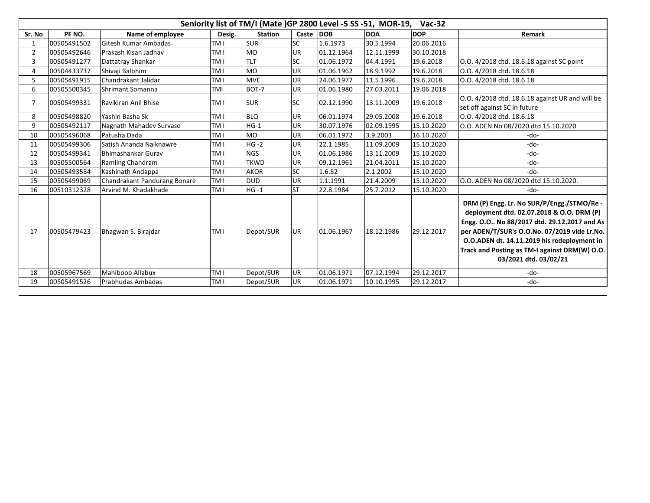|                | Seniority list of TM/I (Mate )GP 2800 Level -5 SS -51, MOR-19,<br>$Vac-32$ |                              |                 |                |           |            |            |            |                                                                                                                                                                                                                                                                                                                 |  |  |  |  |
|----------------|----------------------------------------------------------------------------|------------------------------|-----------------|----------------|-----------|------------|------------|------------|-----------------------------------------------------------------------------------------------------------------------------------------------------------------------------------------------------------------------------------------------------------------------------------------------------------------|--|--|--|--|
| Sr. No         | PF NO.                                                                     | Name of employee             | Desig.          | <b>Station</b> | Caste     | <b>DOB</b> | <b>DOA</b> | <b>DOP</b> | Remark                                                                                                                                                                                                                                                                                                          |  |  |  |  |
| 1              | 00505491502                                                                | Gitesh Kumar Ambadas         | TM I            | <b>SUR</b>     | <b>SC</b> | 1.6.1973   | 30.5.1994  | 20.06.2016 |                                                                                                                                                                                                                                                                                                                 |  |  |  |  |
| 2              | 00505492646                                                                | Prakash Kisan Jadhav         | TM I            | <b>MO</b>      | <b>UR</b> | 01.12.1964 | 12.11.1999 | 30.10.2018 |                                                                                                                                                                                                                                                                                                                 |  |  |  |  |
| 3              | 00505491277                                                                | Dattatray Shankar            | TM I            | <b>TLT</b>     | <b>SC</b> | 01.06.1972 | 04.4.1991  | 19.6.2018  | O.O. 4/2018 dtd. 18.6.18 against SC point                                                                                                                                                                                                                                                                       |  |  |  |  |
| 4              | 00504433737                                                                | Shivaji Balbhim              | TM I            | <b>MO</b>      | <b>UR</b> | 01.06.1962 | 18.9.1992  | 19.6.2018  | O.O. 4/2018 dtd. 18.6.18                                                                                                                                                                                                                                                                                        |  |  |  |  |
| 5              | 00505491915                                                                | Chandrakant Jalidar          | TM I            | <b>MVE</b>     | <b>UR</b> | 24.06.1977 | 11.5.1996  | 19.6.2018  | O.O. 4/2018 dtd. 18.6.18                                                                                                                                                                                                                                                                                        |  |  |  |  |
| 6              | 00505500345                                                                | Shrimant Somanna             | TMI             | BOT-7          | <b>UR</b> | 01.06.1980 | 27.03.2011 | 19.06.2018 |                                                                                                                                                                                                                                                                                                                 |  |  |  |  |
| $\overline{7}$ | 00505499331                                                                | Ravikiran Anil Bhise         | TM I            | <b>SUR</b>     | <b>SC</b> | 02.12.1990 | 13.11.2009 | 19.6.2018  | O.O. 4/2018 dtd. 18.6.18 against UR and will be                                                                                                                                                                                                                                                                 |  |  |  |  |
|                |                                                                            |                              |                 |                |           |            |            |            | set off against SC in future                                                                                                                                                                                                                                                                                    |  |  |  |  |
| 8              | 00505498820                                                                | Yashin Basha Sk              | TM I            | <b>BLQ</b>     | <b>UR</b> | 06.01.1974 | 29.05.2008 | 19.6.2018  | O.O. 4/2018 dtd. 18.6.18                                                                                                                                                                                                                                                                                        |  |  |  |  |
| 9              | 00505492117                                                                | Nagnath Mahadev Survase      | TM I            | $HG-1$         | <b>UR</b> | 30.07.1976 | 02.09.1995 | 15.10.2020 | O.O. ADEN No 08/2020 dtd 15.10.2020                                                                                                                                                                                                                                                                             |  |  |  |  |
| 10             | 00505496068                                                                | Patusha Dada                 | TM I            | <b>MO</b>      | UR.       | 06.01.1972 | 3.9.2003   | 16.10.2020 | -do-                                                                                                                                                                                                                                                                                                            |  |  |  |  |
| 11             | 00505499306                                                                | Satish Ananda Naiknawre      | TM I            | $HG -2$        | UR.       | 22.1.1985  | 11.09.2009 | 15.10.2020 | -do-                                                                                                                                                                                                                                                                                                            |  |  |  |  |
| 12             | 00505499341                                                                | Bhimashankar Gurav           | TM I            | <b>NGS</b>     | UR        | 01.06.1986 | 13.11.2009 | 15.10.2020 | -do-                                                                                                                                                                                                                                                                                                            |  |  |  |  |
| 13             | 00505500564                                                                | Ramling Chandram             | TM I            | TKWD           | UR.       | 09.12.1961 | 21.04.2011 | 15.10.2020 | -do-                                                                                                                                                                                                                                                                                                            |  |  |  |  |
| 14             | 00505493584                                                                | Kashinath Andappa            | TM I            | <b>AKOR</b>    | <b>SC</b> | 1.6.82     | 2.1.2002   | 15.10.2020 | $-do-$                                                                                                                                                                                                                                                                                                          |  |  |  |  |
| 15             | 00505499069                                                                | Chandrakant Pandurang Bonare | TM I            | <b>DUD</b>     | UR        | 1.1.1991   | 21.4.2009  | 15.10.2020 | O.O. ADEN No 08/2020 dtd 15.10.2020.                                                                                                                                                                                                                                                                            |  |  |  |  |
| 16             | 00510312328                                                                | Arvind M. Khadakhade         | TM I            | $HG -1$        | <b>ST</b> | 22.8.1984  | 25.7.2012  | 15.10.2020 | -do-                                                                                                                                                                                                                                                                                                            |  |  |  |  |
| 17             | 00505479423                                                                | Bhagwan S. Birajdar          | TM I            | Depot/SUR      | <b>UR</b> | 01.06.1967 | 18.12.1986 | 29.12.2017 | DRM (P) Engg. Lr. No SUR/P/Engg./STMO/Re -<br>deployment dtd. 02.07.2018 & O.O. DRM (P)<br>Engg. O.O No 88/2017 dtd. 29.12.2017 and As<br>per ADEN/T/SUR's O.O.No. 07/2019 vide Lr.No.<br>O.O.ADEN dt. 14.11.2019 his redeployment in<br>Track and Posting as TM-I against DRM(W) O.O.<br>03/2021 dtd. 03/02/21 |  |  |  |  |
| 18             | 00505967569                                                                | Mahiboob Allabux             | TM <sub>I</sub> | Depot/SUR      | <b>UR</b> | 01.06.1971 | 07.12.1994 | 29.12.2017 | -do-                                                                                                                                                                                                                                                                                                            |  |  |  |  |
| 19             | 00505491526                                                                | Prabhudas Ambadas            | TM I            | Depot/SUR      | UR.       | 01.06.1971 | 10.10.1995 | 29.12.2017 | -do-                                                                                                                                                                                                                                                                                                            |  |  |  |  |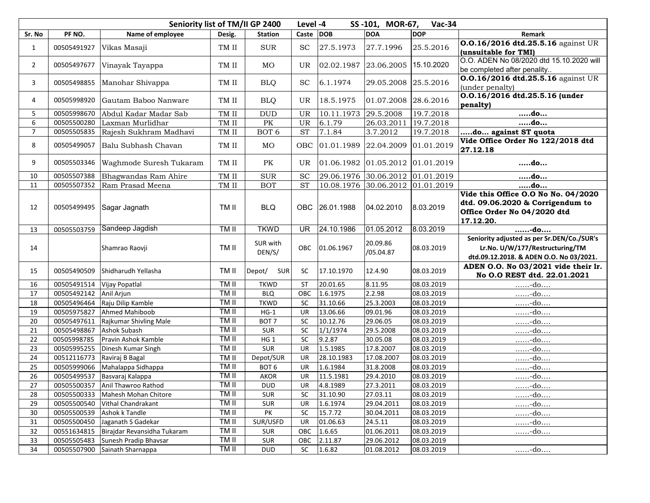|                |             | Seniority list of TM/II GP 2400    |             | Level -4             |                          | SS-101, MOR-67,      | $Vac-34$                           |            |                                                                                                                          |
|----------------|-------------|------------------------------------|-------------|----------------------|--------------------------|----------------------|------------------------------------|------------|--------------------------------------------------------------------------------------------------------------------------|
| Sr. No         | PF NO.      | Name of employee                   | Desig.      | <b>Station</b>       | Caste DOB                |                      | <b>DOA</b>                         | <b>DOP</b> | Remark                                                                                                                   |
| $\mathbf{1}$   | 00505491927 | Vikas Masaji                       | TM II       | <b>SUR</b>           | <b>SC</b>                | 27.5.1973            | 27.7.1996                          | 25.5.2016  | 0.0.16/2016 dtd.25.5.16 against UR<br>(unsuitable for TMI)                                                               |
| $\overline{2}$ | 00505497677 | Vinayak Tayappa                    | TM II       | MO                   | UR                       |                      | 02.02.1987 23.06.2005 15.10.2020   |            | O.O. ADEN No 08/2020 dtd 15.10.2020 will<br>be completed after penality                                                  |
| 3              | 00505498855 | Manohar Shivappa                   | TM II       | <b>BLQ</b>           | <b>SC</b>                | 6.1.1974             | 29.05.2008 25.5.2016               |            | 0.0.16/2016 dtd.25.5.16 against UR<br>(under penalty)                                                                    |
| 4              | 00505998920 | Gautam Baboo Nanware               | TM II       | <b>BLQ</b>           | UR                       | 18.5.1975            | 01.07.2008 28.6.2016               |            | 0.0.16/2016 dtd.25.5.16 (under<br>penalty)                                                                               |
| 5              | 00505998670 | Abdul Kadar Madar Sab              | TM II       | $\rm DUD$            | UR                       | 10.11.1973 29.5.2008 |                                    | 19.7.2018  | do                                                                                                                       |
| 6              | 00505500280 | Laxman Murlidhar                   | $\rm TM$ II | PK                   | UR                       | 6.1.79               | 26.03.2011                         | 19.7.2018  | do                                                                                                                       |
| $\overline{7}$ | 00505505835 | Rajesh Sukhram Madhavi             | TM II       | BOT <sub>6</sub>     | <b>ST</b>                | 7.1.84               | 3.7.2012                           | 19.7.2018  | do against ST quota                                                                                                      |
| 8              | 00505499057 | Balu Subhash Chavan                | TM II       | MO                   | OBC                      |                      | $01.01.1989$ 22.04.2009 01.01.2019 |            | Vide Office Order No 122/2018 dtd<br>27.12.18                                                                            |
| 9              | 00505503346 | Waghmode Suresh Tukaram            | TM II       | PK                   | <b>UR</b>                |                      | 01.06.1982 01.05.2012 01.01.2019   |            | do                                                                                                                       |
| 10             | 00505507388 | Bhagwandas Ram Ahire               | TM II       | ${\tt SUR}$          | <b>SC</b>                |                      | 29.06.1976 30.06.2012 01.01.2019   |            | do                                                                                                                       |
| 11             | 00505507352 | Ram Prasad Meena                   | TM II       | <b>BOT</b>           | <b>ST</b>                |                      | 10.08.1976 30.06.2012 01.01.2019   |            | do                                                                                                                       |
| 12             | 00505499495 | Sagar Jagnath                      | TM II       | <b>BLQ</b>           | OBC                      | 26.01.1988           | 04.02.2010                         | 8.03.2019  | Vide this Office O.O No No. 04/2020<br>dtd. 09.06.2020 & Corrigendum to<br>Office Order No 04/2020 dtd<br>17.12.20.      |
| 13             | 00505503759 | Sandeep Jagdish                    | TM II       | <b>TKWD</b>          | $\overline{\mathsf{UR}}$ | 24.10.1986           | 01.05.2012                         | 8.03.2019  | -do                                                                                                                      |
| 14             |             | Shamrao Raovji                     | TM II       | SUR with<br>DEN/S/   | OBC                      | 01.06.1967           | 20.09.86<br>/05.04.87              | 08.03.2019 | Seniority adjusted as per Sr.DEN/Co./SUR's<br>Lr.No. U/W/177/Restructuring/TM<br>dtd.09.12.2018. & ADEN O.O. No 03/2021. |
| 15             | 00505490509 | Shidharudh Yellasha                | TM II       | Depot/<br><b>SUR</b> | SC                       | 17.10.1970           | 12.4.90                            | 08.03.2019 | ADEN O.O. No 03/2021 vide their lr.<br>No O.O REST dtd. 22.01.2021                                                       |
| 16             | 00505491514 | Vijay Popatlal                     | TM II       | <b>TKWD</b>          | <b>ST</b>                | 20.01.65             | 8.11.95                            | 08.03.2019 | -do                                                                                                                      |
| 17             | 00505492142 | Anil Arjun                         | TM II       | <b>BLQ</b>           | OBC                      | 1.6.1975             | 2.2.98                             | 08.03.2019 | -do                                                                                                                      |
| 18             | 00505496464 | Raju Dilip Kamble                  | TM II       | <b>TKWD</b>          | SC                       | 31.10.66             | 25.3.2003                          | 08.03.2019 | $$ -do. $$                                                                                                               |
| 19             | 00505975827 | Ahmed Mahiboob                     | TM II       | $HG-1$               | <b>UR</b>                | 13.06.66             | 09.01.96                           | 08.03.2019 | - $do$                                                                                                                   |
| 20             | 00505497611 | Rajkumar Shivling Male             | TM II       | BOT <sub>7</sub>     | $\sf SC$                 | 10.12.76             | 29.06.05                           | 08.03.2019 | $$ -do. $$                                                                                                               |
| 21             | 00505498867 | Ashok Subash                       | TM II       | <b>SUR</b>           | SC                       | 1/1/1974             | 29.5.2008                          | 08.03.2019 | $$ -do. $$                                                                                                               |
| 22             | 00505998785 | Pravin Ashok Kamble                | TM II       | HG 1                 | SC                       | 9.2.87               | 30.05.08                           | 08.03.2019 | $$ -do. $$                                                                                                               |
| 23             | 00505995255 | Dinesh Kumar Singh                 | TM II       | SUR                  | <b>UR</b>                | 1.5.1985             | 17.8.2007                          | 08.03.2019 | -do                                                                                                                      |
| 24             | 00512116773 | Raviraj B Bagal                    | TM II       | Depot/SUR            | <b>UR</b>                | 28.10.1983           | 17.08.2007                         | 08.03.2019 | $$ -do. $$                                                                                                               |
| 25             | 00505999066 | Mahalappa Sidhappa                 | TM II       | BOT <sub>6</sub>     | UR                       | 1.6.1984             | 31.8.2008                          | 08.03.2019 | -do                                                                                                                      |
| 26             | 00505499537 | Basvaraj Kalappa                   | TM II       | <b>AKOR</b>          | UR                       | 11.5.1981            | 29.4.2010                          | 08.03.2019 | $$ -do. $$                                                                                                               |
| 27             |             | 00505500357 Anil Thawroo Rathod    | TM II       | <b>DUD</b>           | UR                       | 4.8.1989             | 27.3.2011                          | 08.03.2019 | $$ -do. $$                                                                                                               |
| 28             |             | 00505500333   Mahesh Mohan Chitore | TM II       | <b>SUR</b>           | <b>SC</b>                | 31.10.90             | 27.03.11                           | 08.03.2019 | $\ldots$ -do                                                                                                             |
| 29             | 00505500540 | Vithal Chandrakant                 | TM II       | SUR                  | <b>UR</b>                | 1.6.1974             | 29.04.2011                         | 08.03.2019 | $$ -do. $$                                                                                                               |
| 30             | 00505500539 | Ashok k Tandle                     | TM II       | PK                   | SC                       | 15.7.72              | 30.04.2011                         | 08.03.2019 | -do                                                                                                                      |
| 31             |             | 00505500450 Jaganath S Gadekar     | TM II       | SUR/USFD             | UR                       | 01.06.63             | 24.5.11                            | 08.03.2019 | $$ -do. $$                                                                                                               |
| 32             | 00551634815 | Birajdar Revansidha Tukaram        | TM II       | <b>SUR</b>           | OBC                      | 1.6.65               | 01.06.2011                         | 08.03.2019 | $$ -do. $$                                                                                                               |
| 33             | 00505505483 | Sunesh Pradip Bhavsar              | TM II       | <b>SUR</b>           | OBC                      | 2.11.87              | 29.06.2012                         | 08.03.2019 |                                                                                                                          |
| 34             |             | 00505507900 Sainath Sharnappa      | TM II       | <b>DUD</b>           | SC                       | 1.6.82               | 01.08.2012                         | 08.03.2019 | do                                                                                                                       |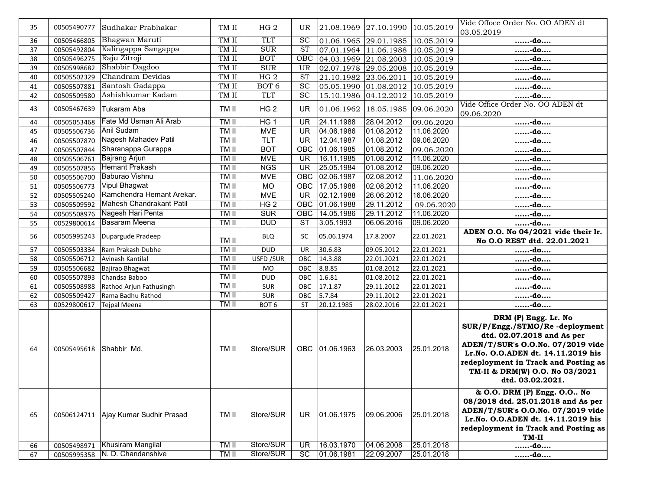| 35       | 00505490777                | Sudhakar Prabhakar                            | TM II                | HG <sub>2</sub>        | UR                       |                          | 21.08.1969 27.10.1990 10.05.2019 |                          | Vide Offoce Order No. OO ADEN dt                                                                                                                                                                                                                              |
|----------|----------------------------|-----------------------------------------------|----------------------|------------------------|--------------------------|--------------------------|----------------------------------|--------------------------|---------------------------------------------------------------------------------------------------------------------------------------------------------------------------------------------------------------------------------------------------------------|
|          |                            |                                               |                      |                        |                          |                          |                                  |                          | 03.05.2019                                                                                                                                                                                                                                                    |
| 36       | 00505466805                | Bhagwan Maruti                                | TM II                | TLT                    | <b>SC</b>                |                          | 01.06.1965 29.01.1985 10.05.2019 |                          | -do                                                                                                                                                                                                                                                           |
| 37       | 00505492804                | Kalingappa Sangappa                           | TM II                | SUR                    | <b>ST</b>                |                          | 07.01.1964 11.06.1988 10.05.2019 |                          | -do                                                                                                                                                                                                                                                           |
| 38       | 00505496275                | Raju Zitroji                                  | TM II                | <b>BOT</b>             | OBC                      |                          | 04.03.1969 21.08.2003 10.05.2019 |                          | -do                                                                                                                                                                                                                                                           |
| 39       | 00505998682                | Shabbir Dagdoo                                | TM II                | <b>SUR</b>             | UR                       |                          | 02.07.1978 29.05.2008 10.05.2019 |                          | -do                                                                                                                                                                                                                                                           |
| 40       | 00505502329                | Chandram Devidas                              | TM II                | HG2                    | <b>ST</b>                |                          | 21.10.1982 23.06.2011            | 10.05.2019               | -do                                                                                                                                                                                                                                                           |
| 41       | 00505507881                | Santosh Gadappa                               | TM II                | BOT <sub>6</sub>       | SC                       |                          | 05.05.1990 01.08.2012            | 10.05.2019               | -do                                                                                                                                                                                                                                                           |
| 42       | 00505509580                | Ashishkumar Kadam                             | TM II                | <b>TLT</b>             | <b>SC</b>                |                          | 15.10.1986 04.12.2012 10.05.2019 |                          | -do                                                                                                                                                                                                                                                           |
| 43       | 00505467639                | Tukaram Aba                                   | TM II                | HG <sub>2</sub>        | <b>UR</b>                |                          | 01.06.1962 18.05.1985 09.06.2020 |                          | Vide Office Order No. OO ADEN dt<br>09.06.2020                                                                                                                                                                                                                |
| 44       | 00505053468                | Fate Md Usman Ali Arab                        | TM II                | HG 1                   | <b>UR</b>                | 24.11.1988               | 28.04.2012                       | 09.06.2020               | -do                                                                                                                                                                                                                                                           |
| 45       | 00505506736                | <b>Anil Sudam</b>                             | TM II                | <b>MVE</b>             | $\overline{\mathsf{UR}}$ | 04.06.1986               | 01.08.2012                       | 11.06.2020               | -do                                                                                                                                                                                                                                                           |
| 46       | 00505507870                | Nagesh Mahadev Patil                          | TM II                | TLT                    | $\overline{\mathsf{UR}}$ | 12.04.1987               | 01.08.2012                       | 09.06.2020               | -do                                                                                                                                                                                                                                                           |
| 47       | 00505507844                | Sharanappa Gurappa                            | TM II                | <b>BOT</b>             | OBC                      | 01.06.1985               | 01.08.2012                       | 09.06.2020               | -do                                                                                                                                                                                                                                                           |
| 48       | 00505506761                | <b>Bajrang Arjun</b>                          | <b>TMII</b>          | <b>MVE</b>             | $\overline{\mathsf{UR}}$ | 16.11.1985               | 01.08.2012                       | 11.06.2020               | -do                                                                                                                                                                                                                                                           |
| 49       | 00505507856                | <b>Hemant Prakash</b>                         | TM II                | <b>NGS</b>             | UR                       | 25.05.1984               | 01.08.2012                       | 09.06.2020               | -do                                                                                                                                                                                                                                                           |
| 50       | 00505506700                | Baburao Vishnu                                | TM II                | <b>MVE</b>             | OBC                      | 02.06.1987               | 02.08.2012                       | 11.06.2020               | -do                                                                                                                                                                                                                                                           |
| 51       | 00505506773                | <b>Vipul Bhagwat</b>                          | TM II                | <b>MO</b>              | OBC                      | 17.05.1988               | 02.08.2012                       | 11.06.2020               | -do                                                                                                                                                                                                                                                           |
| 52       | 00505505240                | Ramchendra Hemant Arekar.                     | TM II                | <b>MVE</b>             | $\overline{\mathsf{UR}}$ | 02.12.1988               | 26.06.2012                       | 16.06.2020               | -do                                                                                                                                                                                                                                                           |
| 53       | 00505509592                | Mahesh Chandrakant Patil                      | TM II                | HG2                    | OBC                      | 01.06.1988               | 29.11.2012                       | 09.06.2020               | -do                                                                                                                                                                                                                                                           |
| 54       | 00505508976                | Nagesh Hari Penta                             | TM II                | <b>SUR</b>             | OBC                      | 14.05.1986               | 29.11.2012                       | 11.06.2020               | -do                                                                                                                                                                                                                                                           |
| 55       | 00529800614                | <b>Basaram Meena</b>                          | TM II                | <b>DUD</b>             | ST                       | 3.05.1993                | 06.06.2016                       | 09.06.2020               | do                                                                                                                                                                                                                                                            |
|          |                            |                                               |                      |                        |                          |                          |                                  |                          | ADEN O.O. No 04/2021 vide their lr.                                                                                                                                                                                                                           |
| 56       | 00505995243                | Dupargude Pradeep                             | TM II                | <b>BLQ</b>             | <b>SC</b>                | 05.06.1974               | 17.8.2007                        | 22.01.2021               | No O.O REST dtd. 22.01.2021                                                                                                                                                                                                                                   |
| 57       | 00505503334                | Ram Prakash Dubhe                             | TM II                | <b>DUD</b>             | UR                       | 30.6.83                  | 09.05.2012                       | 22.01.2021               | -do                                                                                                                                                                                                                                                           |
| 58       | 00505506712                | Avinash Kantilal                              | TM II                | USFD / SUR             | OBC                      | 14.3.88                  | 22.01.2021                       | 22.01.2021               | -do                                                                                                                                                                                                                                                           |
| 59       | 00505506682                | Bajirao Bhagwat                               | TM II                | <b>MO</b>              | OBC                      | 8.8.85                   | 01.08.2012                       | 22.01.2021               | -do                                                                                                                                                                                                                                                           |
| 60       | 00505507893                | Chandsa Baboo                                 | TM II                | <b>DUD</b>             | OBC                      | 1.6.81                   | 01.08.2012                       | 22.01.2021               | -do                                                                                                                                                                                                                                                           |
| 61       | 00505508988                | Rathod Arjun Fathusingh                       | TM II                | <b>SUR</b>             | OBC                      | 17.1.87                  | 29.11.2012                       | 22.01.2021               | -do                                                                                                                                                                                                                                                           |
| 62       | 00505509427                | Rama Badhu Rathod                             | TM II                | <b>SUR</b>             | OBC                      | 5.7.84                   | 29.11.2012                       | 22.01.2021               | -do                                                                                                                                                                                                                                                           |
| 63       | 00529800617                | <b>Tejpal Meena</b>                           | TM II                | BOT <sub>6</sub>       | <b>ST</b>                | 20.12.1985               | 28.02.2016                       | 22.01.2021               | -do                                                                                                                                                                                                                                                           |
|          |                            |                                               |                      |                        |                          |                          |                                  |                          |                                                                                                                                                                                                                                                               |
| 64       | 00505495618                | Shabbir Md.                                   | TM II                | Store/SUR              | <b>OBC</b>               | 01.06.1963               | 26.03.2003                       | 25.01.2018               | DRM (P) Engg. Lr. No<br>SUR/P/Engg./STMO/Re-deployment<br>dtd. 02.07.2018 and As per<br>ADEN/T/SUR's O.O.No. 07/2019 vide<br>Lr.No. O.O.ADEN dt. 14.11.2019 his<br>redeployment in Track and Posting as<br>TM-II & DRM(W) O.O. No 03/2021<br>dtd. 03.02.2021. |
| 65<br>66 | 00506124711<br>00505498971 | Ajay Kumar Sudhir Prasad<br>Khusiram Mangilal | TM II<br><b>TMII</b> | Store/SUR<br>Store/SUR | <b>UR</b><br>UR          | 01.06.1975<br>16.03.1970 | 09.06.2006<br>04.06.2008         | 25.01.2018<br>25.01.2018 | & O.O. DRM (P) Engg. O.O No<br>08/2018 dtd. 25.01.2018 and As per<br>ADEN/T/SUR's O.O.No. 07/2019 vide<br>Lr.No. O.O.ADEN dt. 14.11.2019 his<br>redeployment in Track and Posting as<br>TM-II<br>-do                                                          |
| 67       | 00505995358                | N. D. Chandanshive                            | TM II                | Store/SUR              | SC                       | 01.06.1981               | 22.09.2007                       | 25.01.2018               | -do                                                                                                                                                                                                                                                           |
|          |                            |                                               |                      |                        |                          |                          |                                  |                          |                                                                                                                                                                                                                                                               |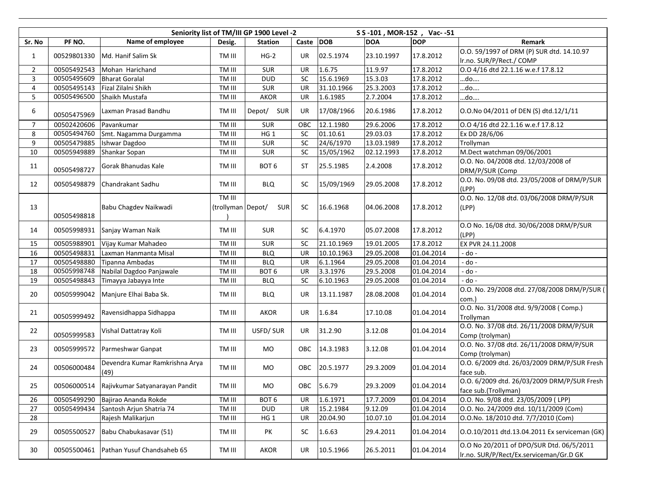|                |             | Seniority list of TM/III GP 1900 Level -2 |                             |                  | S S -101, MOR-152, Vac--51 |            |            |            |                                                                                     |
|----------------|-------------|-------------------------------------------|-----------------------------|------------------|----------------------------|------------|------------|------------|-------------------------------------------------------------------------------------|
| Sr. No         | PF NO.      | Name of employee                          | Desig.                      | <b>Station</b>   | Caste                      | <b>DOB</b> | <b>DOA</b> | <b>DOP</b> | <b>Remark</b>                                                                       |
| $\mathbf{1}$   | 00529801330 | Md. Hanif Salim Sk                        | TM III                      | $HG-2$           | <b>UR</b>                  | 02.5.1974  | 23.10.1997 | 17.8.2012  | O.O. 59/1997 of DRM (P) SUR dtd. 14.10.97<br>Ir.no. SUR/P/Rect./ COMP               |
| $\overline{2}$ | 00505492543 | Mohan Harichand                           | TM III                      | <b>SUR</b>       | UR                         | 1.6.75     | 11.9.97    | 17.8.2012  | O.O 4/16 dtd 22.1.16 w.e.f 17.8.12                                                  |
| 3              | 00505495609 | <b>Bharat Goralal</b>                     | TM III                      | <b>DUD</b>       | SC                         | 15.6.1969  | 15.3.03    | 17.8.2012  | do….                                                                                |
| 4              | 00505495143 | Fizal Zilalni Shikh                       | TM III                      | <b>SUR</b>       | <b>UR</b>                  | 31.10.1966 | 25.3.2003  | 17.8.2012  | do                                                                                  |
| 5              | 00505496500 | Shaikh Mustafa                            | TM III                      | <b>AKOR</b>      | <b>UR</b>                  | 1.6.1985   | 2.7.2004   | 17.8.2012  | do                                                                                  |
| 6              | 00505475969 | Laxman Prasad Bandhu                      | TM III                      | Depot/ SUR       | UR                         | 17/08/1966 | 20.6.1986  | 17.8.2012  | O.O.No 04/2011 of DEN (S) dtd.12/1/11                                               |
| $\overline{7}$ | 00502420606 | Pavankumar                                | TM III                      | <b>SUR</b>       | OBC                        | 12.1.1980  | 29.6.2006  | 17.8.2012  | O.O 4/16 dtd 22.1.16 w.e.f 17.8.12                                                  |
| 8              | 00505494760 | Smt. Nagamma Durgamma                     | TM III                      | HG <sub>1</sub>  | SC                         | 01.10.61   | 29.03.03   | 17.8.2012  | Ex DD 28/6/06                                                                       |
| 9              | 00505479885 | Ishwar Dagdoo                             | TM III                      | <b>SUR</b>       | SC                         | 24/6/1970  | 13.03.1989 | 17.8.2012  | Trollyman                                                                           |
| $10\,$         | 00505949889 | Shankar Sopan                             | TM III                      | <b>SUR</b>       | SC                         | 15/05/1962 | 02.12.1993 | 17.8.2012  | M.Dect watchman 09/06/2001                                                          |
| 11             | 00505498727 | Gorak Bhanudas Kale                       | TM III                      | BOT 6            | ST                         | 25.5.1985  | 2.4.2008   | 17.8.2012  | O.O. No. 04/2008 dtd. 12/03/2008 of<br>DRM/P/SUR (Comp                              |
| 12             | 00505498879 | Chandrakant Sadhu                         | TM III                      | <b>BLQ</b>       | SC                         | 15/09/1969 | 29.05.2008 | 17.8.2012  | O.O. No. 09/08 dtd. 23/05/2008 of DRM/P/SUR<br>(LPP)                                |
| 13             | 00505498818 | Babu Chagdev Naikwadi                     | TM III<br>(trollyman Depot/ | <b>SUR</b>       | <b>SC</b>                  | 16.6.1968  | 04.06.2008 | 17.8.2012  | 0.0. No. 12/08 dtd. 03/06/2008 DRM/P/SUR<br>(LPP)                                   |
| 14             | 00505998931 | Sanjay Waman Naik                         | TM III                      | <b>SUR</b>       | <b>SC</b>                  | 6.4.1970   | 05.07.2008 | 17.8.2012  | O.O No. 16/08 dtd. 30/06/2008 DRM/P/SUR<br>(LPP)                                    |
| 15             | 00505988901 | Vijay Kumar Mahadeo                       | TM III                      | <b>SUR</b>       | <b>SC</b>                  | 21.10.1969 | 19.01.2005 | 17.8.2012  | EX PVR 24.11.2008                                                                   |
| 16             | 00505498831 | Laxman Hanmanta Misal                     | TM III                      | <b>BLQ</b>       | <b>UR</b>                  | 10.10.1963 | 29.05.2008 | 01.04.2014 | - do -                                                                              |
| 17             | 00505498880 | Tipanna Ambadas                           | TM III                      | <b>BLQ</b>       | UR                         | 6.1.1964   | 29.05.2008 | 01.04.2014 | - do -                                                                              |
| 18             | 00505998748 | Nabilal Dagdoo Panjawale                  | TM III                      | BOT <sub>6</sub> | UR                         | 3.3.1976   | 29.5.2008  | 01.04.2014 | - do -                                                                              |
| 19             | 00505498843 | Timayya Jabayya Inte                      | TM III                      | <b>BLQ</b>       | SC                         | 6.10.1963  | 29.05.2008 | 01.04.2014 | - do -                                                                              |
| 20             | 00505999042 | Manjure Elhai Baba Sk.                    | TM III                      | <b>BLQ</b>       | UR                         | 13.11.1987 | 28.08.2008 | 01.04.2014 | O.O. No. 29/2008 dtd. 27/08/2008 DRM/P/SUR (<br>com.)                               |
| 21             | 00505999492 | Ravensidhappa Sidhappa                    | TM III                      | AKOR             | UR                         | 1.6.84     | 17.10.08   | 01.04.2014 | O.O. No. 31/2008 dtd. 9/9/2008 (Comp.)<br>Trollyman                                 |
| 22             | 00505999583 | Vishal Dattatray Koli                     | TM III                      | USFD/SUR         | UR                         | 31.2.90    | 3.12.08    | 01.04.2014 | O.O. No. 37/08 dtd. 26/11/2008 DRM/P/SUR<br>Comp (trolyman)                         |
| 23             | 00505999572 | Parmeshwar Ganpat                         | TM III                      | <b>MO</b>        | OBC                        | 14.3.1983  | 3.12.08    | 01.04.2014 | O.O. No. 37/08 dtd. 26/11/2008 DRM/P/SUR<br>Comp (trolyman)                         |
| 24             | 00506000484 | Devendra Kumar Ramkrishna Arya<br>(49)    | TM III                      | MO               | OBC                        | 20.5.1977  | 29.3.2009  | 01.04.2014 | O.O. 6/2009 dtd. 26/03/2009 DRM/P/SUR Fresh<br>face sub.                            |
| 25             | 00506000514 | Rajivkumar Satyanarayan Pandit            | TM III                      | MO               | OBC                        | 5.6.79     | 29.3.2009  | 01.04.2014 | O.O. 6/2009 dtd. 26/03/2009 DRM/P/SUR Fresh<br>face sub.(Trollyman)                 |
| 26             | 00505499290 | Bajirao Ananda Rokde                      | TM III                      | BOT <sub>6</sub> | UR                         | 1.6.1971   | 17.7.2009  | 01.04.2014 | O.O. No. 9/08 dtd. 23/05/2009 ( LPP)                                                |
| 27             | 00505499434 | Santosh Arjun Shatria 74                  | TM III                      | <b>DUD</b>       | <b>UR</b>                  | 15.2.1984  | 9.12.09    | 01.04.2014 | O.O. No. 24/2009 dtd. 10/11/2009 (Com)                                              |
| 28             |             | Rajesh Malikarjun                         | TM III                      | HG <sub>1</sub>  | UR                         | 20.04.90   | 10.07.10   | 01.04.2014 | O.O.No. 18/2010 dtd. 7/7/2010 (Com)                                                 |
| 29             | 00505500527 | Babu Chabukasavar (51)                    | TM III                      | PK               | SC                         | 1.6.63     | 29.4.2011  | 01.04.2014 | 0.0.10/2011 dtd.13.04.2011 Ex serviceman (GK)                                       |
| 30             | 00505500461 | Pathan Yusuf Chandsaheb 65                | TM III                      | AKOR             | UR                         | 10.5.1966  | 26.5.2011  | 01.04.2014 | O.O No 20/2011 of DPO/SUR Dtd. 06/5/2011<br>Ir.no. SUR/P/Rect/Ex.serviceman/Gr.D GK |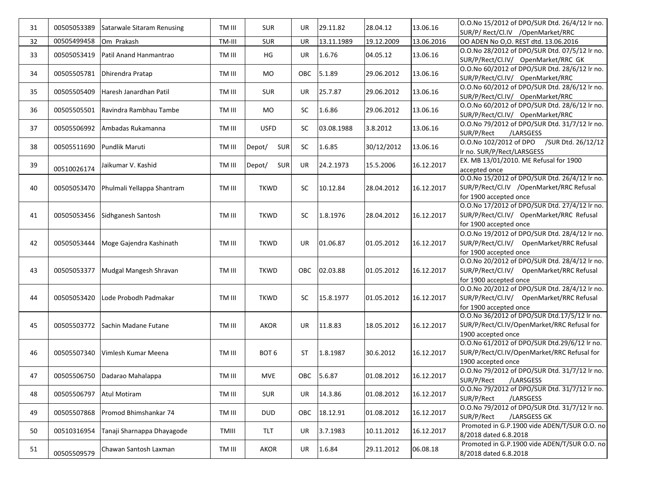| 31 | 00505053389 | Satarwale Sitaram Renusing | TM III | <b>SUR</b>           | UR         | 29.11.82   | 28.04.12   | 13.06.16   | O.O.No 15/2012 of DPO/SUR Dtd. 26/4/12 lr no.<br>SUR/P/ Rect/Cl.IV / OpenMarket/RRC |
|----|-------------|----------------------------|--------|----------------------|------------|------------|------------|------------|-------------------------------------------------------------------------------------|
| 32 | 00505499458 | Om Prakash                 | TM-III | SUR                  | UR         | 13.11.1989 | 19.12.2009 | 13.06.2016 | OO ADEN No O,O. REST dtd. 13.06.2016                                                |
|    |             |                            |        |                      |            |            |            |            | O.O.No 28/2012 of DPO/SUR Dtd. 07/5/12 Ir no.                                       |
| 33 | 00505053419 | Patil Anand Hanmantrao     | TM III | HG                   | UR         | 1.6.76     | 04.05.12   | 13.06.16   |                                                                                     |
|    |             |                            |        |                      |            |            |            |            | SUR/P/Rect/Cl.IV/ OpenMarket/RRC GK                                                 |
| 34 | 00505505781 | Dhirendra Pratap           | TM III | MO.                  | OBC        | 5.1.89     | 29.06.2012 | 13.06.16   | O.O.No 60/2012 of DPO/SUR Dtd. 28/6/12 Ir no.                                       |
|    |             |                            |        |                      |            |            |            |            | SUR/P/Rect/Cl.IV/ OpenMarket/RRC                                                    |
| 35 | 00505505409 | Haresh Janardhan Patil     | TM III | <b>SUR</b>           | UR         | 25.7.87    | 29.06.2012 | 13.06.16   | O.O.No 60/2012 of DPO/SUR Dtd. 28/6/12 Ir no.                                       |
|    |             |                            |        |                      |            |            |            |            | SUR/P/Rect/Cl.IV/ OpenMarket/RRC                                                    |
| 36 | 00505505501 | Ravindra Rambhau Tambe     | TM III | MO                   | <b>SC</b>  | 1.6.86     | 29.06.2012 | 13.06.16   | O.O.No 60/2012 of DPO/SUR Dtd. 28/6/12 Ir no.                                       |
|    |             |                            |        |                      |            |            |            |            | SUR/P/Rect/Cl.IV/ OpenMarket/RRC                                                    |
|    |             |                            |        | <b>USFD</b>          |            |            |            |            | O.O.No 79/2012 of DPO/SUR Dtd. 31/7/12 Ir no.                                       |
| 37 | 00505506992 | Ambadas Rukamanna          | TM III |                      | SC         | 03.08.1988 | 3.8.2012   | 13.06.16   | SUR/P/Rect<br>/LARSGESS                                                             |
|    |             |                            |        |                      |            |            |            |            | O.O.No 102/2012 of DPO /SUR Dtd. 26/12/12                                           |
| 38 | 00505511690 | Pundlik Maruti             | TM III | SUR<br>Depot/        | SC.        | 1.6.85     | 30/12/2012 | 13.06.16   | Ir no. SUR/P/Rect/LARSGESS                                                          |
|    |             |                            |        |                      |            |            |            |            | EX. MB 13/01/2010. ME Refusal for 1900                                              |
| 39 | 00510026174 | Jaikumar V. Kashid         | TM III | Depot/<br><b>SUR</b> | UR.        | 24.2.1973  | 15.5.2006  | 16.12.2017 | accepted once                                                                       |
|    |             |                            |        |                      |            |            |            |            | O.O.No 15/2012 of DPO/SUR Dtd. 26/4/12 Ir no.                                       |
| 40 | 00505053470 | Phulmali Yellappa Shantram | TM III | <b>TKWD</b>          | <b>SC</b>  | 10.12.84   | 28.04.2012 | 16.12.2017 | SUR/P/Rect/Cl.IV /OpenMarket/RRC Refusal                                            |
|    |             |                            |        |                      |            |            |            |            | for 1900 accepted once                                                              |
|    |             |                            |        |                      |            |            |            |            | O.O.No 17/2012 of DPO/SUR Dtd. 27/4/12 Ir no.                                       |
|    |             |                            |        |                      |            |            |            |            |                                                                                     |
| 41 | 00505053456 | Sidhganesh Santosh         | TM III | <b>TKWD</b>          | SC         | 1.8.1976   | 28.04.2012 | 16.12.2017 | SUR/P/Rect/Cl.IV/ OpenMarket/RRC Refusal                                            |
|    |             |                            |        |                      |            |            |            |            | for 1900 accepted once                                                              |
|    |             |                            |        |                      |            |            |            |            | O.O.No 19/2012 of DPO/SUR Dtd. 28/4/12 Ir no.                                       |
| 42 | 00505053444 | Moge Gajendra Kashinath    | TM III | <b>TKWD</b>          | UR         | 01.06.87   | 01.05.2012 | 16.12.2017 | SUR/P/Rect/Cl.IV/ OpenMarket/RRC Refusal                                            |
|    |             |                            |        |                      |            |            |            |            | for 1900 accepted once                                                              |
|    |             |                            |        |                      |            |            |            |            | O.O.No 20/2012 of DPO/SUR Dtd. 28/4/12 Ir no.                                       |
| 43 | 00505053377 | Mudgal Mangesh Shravan     | TM III | <b>TKWD</b>          | <b>OBC</b> | 02.03.88   | 01.05.2012 | 16.12.2017 | SUR/P/Rect/Cl.IV/ OpenMarket/RRC Refusal                                            |
|    |             |                            |        |                      |            |            |            |            | for 1900 accepted once                                                              |
|    |             |                            |        |                      |            |            |            |            | O.O.No 20/2012 of DPO/SUR Dtd. 28/4/12 lr no.                                       |
| 44 | 00505053420 | Lode Probodh Padmakar      | TM III | <b>TKWD</b>          | SC         | 15.8.1977  | 01.05.2012 | 16.12.2017 | SUR/P/Rect/Cl.IV/ OpenMarket/RRC Refusal                                            |
|    |             |                            |        |                      |            |            |            |            | for 1900 accepted once                                                              |
|    |             |                            |        |                      |            |            |            |            | O.O.No 36/2012 of DPO/SUR Dtd.17/5/12 Ir no.                                        |
| 45 | 00505503772 | Sachin Madane Futane       | TM III | <b>AKOR</b>          | UR         | 11.8.83    | 18.05.2012 | 16.12.2017 | SUR/P/Rect/Cl.IV/OpenMarket/RRC Refusal for                                         |
|    |             |                            |        |                      |            |            |            |            | 1900 accepted once                                                                  |
|    |             |                            |        |                      |            |            |            |            | 0.0.No 61/2012 of DPO/SUR Dtd.29/6/12 Ir no.                                        |
| 46 | 00505507340 | Vimlesh Kumar Meena        | TM III | BOT <sub>6</sub>     | ST         | 1.8.1987   | 30.6.2012  | 16.12.2017 | SUR/P/Rect/Cl.IV/OpenMarket/RRC Refusal for                                         |
|    |             |                            |        |                      |            |            |            |            | 1900 accepted once                                                                  |
|    |             |                            |        |                      |            |            |            |            | 0.0.No 79/2012 of DPO/SUR Dtd. 31/7/12 Ir no.                                       |
| 47 | 00505506750 | Dadarao Mahalappa          | TM III | MVE                  | OBC        | 5.6.87     | 01.08.2012 | 16.12.2017 |                                                                                     |
|    |             |                            |        |                      |            |            |            |            | SUR/P/Rect<br>/LARSGESS                                                             |
| 48 | 00505506797 | <b>Atul Motiram</b>        | TM III | <b>SUR</b>           | UR         | 14.3.86    | 01.08.2012 | 16.12.2017 | 0.0. No 79/2012 of DPO/SUR Dtd. 31/7/12 Ir no.                                      |
|    |             |                            |        |                      |            |            |            |            | SUR/P/Rect<br>/LARSGESS                                                             |
| 49 | 00505507868 | Promod Bhimshankar 74      | TM III | <b>DUD</b>           | OBC        | 18.12.91   | 01.08.2012 | 16.12.2017 | O.O.No 79/2012 of DPO/SUR Dtd. 31/7/12 Ir no.                                       |
|    |             |                            |        |                      |            |            |            |            | SUR/P/Rect<br>/LARSGESS GK                                                          |
| 50 | 00510316954 | Tanaji Sharnappa Dhayagode | TMIII  | TLT                  | UR         | 3.7.1983   | 10.11.2012 | 16.12.2017 | Promoted in G.P.1900 vide ADEN/T/SUR O.O. no                                        |
|    |             |                            |        |                      |            |            |            |            | 8/2018 dated 6.8.2018                                                               |
|    |             |                            |        |                      |            |            |            | 06.08.18   | Promoted in G.P.1900 vide ADEN/T/SUR O.O. no                                        |
| 51 | 00505509579 | Chawan Santosh Laxman      | TM III | AKOR                 | UR         | 1.6.84     | 29.11.2012 |            | 8/2018 dated 6.8.2018                                                               |
|    |             |                            |        |                      |            |            |            |            |                                                                                     |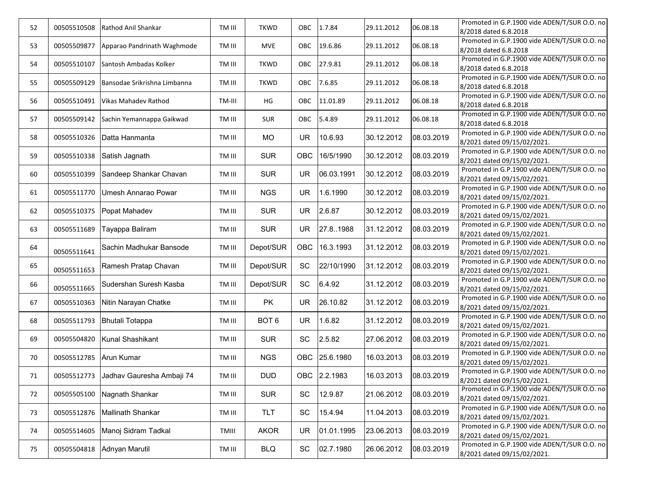| 52 | 00505510508            | Rathod Anil Shankar          | TM III | <b>TKWD</b>      | OBC        | 1.7.84       | 29.11.2012 | 06.08.18   | Promoted in G.P.1900 vide ADEN/T/SUR O.O. no |
|----|------------------------|------------------------------|--------|------------------|------------|--------------|------------|------------|----------------------------------------------|
|    |                        |                              |        |                  |            |              |            |            | 8/2018 dated 6.8.2018                        |
| 53 | 00505509877            | Apparao Pandrinath Waghmode  | TM III | <b>MVE</b>       | <b>OBC</b> | 19.6.86      | 29.11.2012 | 06.08.18   | Promoted in G.P.1900 vide ADEN/T/SUR O.O. no |
|    |                        |                              |        |                  |            |              |            |            | 8/2018 dated 6.8.2018                        |
| 54 | 00505510107            | Santosh Ambadas Kolker       | TM III | <b>TKWD</b>      | <b>OBC</b> | 27.9.81      | 29.11.2012 | 06.08.18   | Promoted in G.P.1900 vide ADEN/T/SUR O.O. no |
|    |                        |                              |        |                  |            |              |            |            | 8/2018 dated 6.8.2018                        |
| 55 | 00505509129            | Bansodae Srikrishna Limbanna | TM III | <b>TKWD</b>      | OBC        | 7.6.85       | 29.11.2012 | 06.08.18   | Promoted in G.P.1900 vide ADEN/T/SUR O.O. no |
|    |                        |                              |        |                  |            |              |            |            | 8/2018 dated 6.8.2018                        |
| 56 | 00505510491            | <b>Vikas Mahadev Rathod</b>  | TM-III | HG               | <b>OBC</b> | 11.01.89     | 29.11.2012 | 06.08.18   | Promoted in G.P.1900 vide ADEN/T/SUR O.O. no |
|    |                        |                              |        |                  |            |              |            |            | 8/2018 dated 6.8.2018                        |
|    | 00505509142            |                              |        |                  |            |              |            |            | Promoted in G.P.1900 vide ADEN/T/SUR O.O. no |
| 57 |                        | Sachin Yemannappa Gaikwad    | TM III | <b>SUR</b>       | <b>OBC</b> | 5.4.89       | 29.11.2012 | 06.08.18   | 8/2018 dated 6.8.2018                        |
|    |                        |                              |        |                  |            |              |            | 08.03.2019 | Promoted in G.P.1900 vide ADEN/T/SUR O.O. no |
| 58 | 00505510326            | Datta Hanmanta               | TM III | <b>MO</b>        | <b>UR</b>  | 10.6.93      | 30.12.2012 |            | 8/2021 dated 09/15/02/2021.                  |
|    |                        |                              |        |                  |            |              |            |            | Promoted in G.P.1900 vide ADEN/T/SUR O.O. no |
| 59 | 00505510338            | Satish Jagnath               | TM III | <b>SUR</b>       | OBC        | 16/5/1990    | 30.12.2012 | 08.03.2019 | 8/2021 dated 09/15/02/2021.                  |
|    |                        |                              |        |                  |            |              |            |            | Promoted in G.P.1900 vide ADEN/T/SUR O.O. no |
| 60 | 00505510399            | Sandeep Shankar Chavan       | TM III | <b>SUR</b>       | <b>UR</b>  | 06.03.1991   | 30.12.2012 | 08.03.2019 | 8/2021 dated 09/15/02/2021.                  |
|    |                        |                              |        |                  |            |              |            |            | Promoted in G.P.1900 vide ADEN/T/SUR O.O. no |
| 61 | 00505511770            | Umesh Annarao Powar          | TM III | <b>NGS</b>       | <b>UR</b>  | 1.6.1990     | 30.12.2012 | 08.03.2019 | 8/2021 dated 09/15/02/2021.                  |
|    |                        |                              |        |                  |            |              |            |            | Promoted in G.P.1900 vide ADEN/T/SUR O.O. no |
| 62 | 00505510375            | Popat Mahadev                | TM III | <b>SUR</b>       | <b>UR</b>  | 2.6.87       | 30.12.2012 | 08.03.2019 | 8/2021 dated 09/15/02/2021.                  |
|    |                        |                              |        |                  |            |              |            |            | Promoted in G.P.1900 vide ADEN/T/SUR O.O. no |
| 63 | 00505511689            | Tayappa Baliram              | TM III | <b>SUR</b>       | <b>UR</b>  | 27.8.1988    | 31.12.2012 | 08.03.2019 | 8/2021 dated 09/15/02/2021.                  |
|    |                        |                              |        |                  |            |              |            |            | Promoted in G.P.1900 vide ADEN/T/SUR O.O. no |
| 64 | 00505511641            | Sachin Madhukar Bansode      | TM III | Depot/SUR        | OBC        | 16.3.1993    | 31.12.2012 | 08.03.2019 | 8/2021 dated 09/15/02/2021.                  |
|    |                        |                              |        |                  |            |              |            |            | Promoted in G.P.1900 vide ADEN/T/SUR O.O. no |
| 65 | 00505511653            | Ramesh Pratap Chavan         | TM III | Depot/SUR        | SC         | 22/10/1990   | 31.12.2012 | 08.03.2019 | 8/2021 dated 09/15/02/2021.                  |
|    |                        |                              |        |                  |            |              |            |            | Promoted in G.P.1900 vide ADEN/T/SUR O.O. no |
| 66 | 00505511665            | Sudershan Suresh Kasba       | TM III | Depot/SUR        | SC         | 6.4.92       | 31.12.2012 | 08.03.2019 | 8/2021 dated 09/15/02/2021.                  |
|    |                        |                              |        |                  |            |              |            |            | Promoted in G.P.1900 vide ADEN/T/SUR O.O. no |
| 67 | 00505510363            | Nitin Narayan Chatke         | TM III | <b>PK</b>        | <b>UR</b>  | 26.10.82     | 31.12.2012 | 08.03.2019 | 8/2021 dated 09/15/02/2021.                  |
|    |                        |                              |        |                  |            |              |            |            | Promoted in G.P.1900 vide ADEN/T/SUR O.O. no |
| 68 | 00505511793            | <b>Bhutali Totappa</b>       | TM III | BOT <sub>6</sub> | <b>UR</b>  | 1.6.82       | 31.12.2012 | 08.03.2019 | 8/2021 dated 09/15/02/2021.                  |
|    |                        |                              |        |                  |            |              |            |            | Promoted in G.P.1900 vide ADEN/T/SUR O.O. no |
| 69 | 00505504820            | Kunal Shashikant             | TM III | <b>SUR</b>       | SC         | 2.5.82       | 27.06.2012 | 08.03.2019 | 8/2021 dated 09/15/02/2021.                  |
|    |                        |                              |        |                  |            |              |            |            | Promoted in G.P.1900 vide ADEN/T/SUR O.O. no |
| 70 | 00505512785 Arun Kumar |                              | TM III | <b>NGS</b>       | OBC        | 25.6.1980    | 16.03.2013 | 08.03.2019 | 8/2021 dated 09/15/02/2021.                  |
|    |                        |                              |        |                  |            |              |            |            | Promoted in G.P.1900 vide ADEN/T/SUR O.O. no |
| 71 | 00505512773            | Jadhav Gauresha Ambaji 74    | TM III | <b>DUD</b>       |            | OBC 2.2.1983 | 16.03.2013 | 08.03.2019 | 8/2021 dated 09/15/02/2021.                  |
|    |                        |                              |        |                  |            |              |            |            | Promoted in G.P.1900 vide ADEN/T/SUR O.O. no |
| 72 | 00505505100            | Nagnath Shankar              | TM III | <b>SUR</b>       | SC         | 12.9.87      | 21.06.2012 | 08.03.2019 | 8/2021 dated 09/15/02/2021.                  |
|    |                        |                              |        |                  |            |              |            |            | Promoted in G.P.1900 vide ADEN/T/SUR O.O. no |
| 73 | 00505512876            | Mallinath Shankar            | TM III | TLT              | SC         | 15.4.94      | 11.04.2013 | 08.03.2019 | 8/2021 dated 09/15/02/2021.                  |
|    |                        |                              |        |                  |            |              |            |            | Promoted in G.P.1900 vide ADEN/T/SUR O.O. no |
| 74 | 00505514605            | Manoj Sidram Tadkal          | TMIII  | <b>AKOR</b>      | <b>UR</b>  | 01.01.1995   | 23.06.2013 | 08.03.2019 | 8/2021 dated 09/15/02/2021.                  |
|    |                        |                              |        |                  |            |              |            |            | Promoted in G.P.1900 vide ADEN/T/SUR O.O. no |
| 75 | 00505504818            | Adnyan Marutil               | TM III | <b>BLQ</b>       | SC         | 02.7.1980    | 26.06.2012 | 08.03.2019 | 8/2021 dated 09/15/02/2021.                  |
|    |                        |                              |        |                  |            |              |            |            |                                              |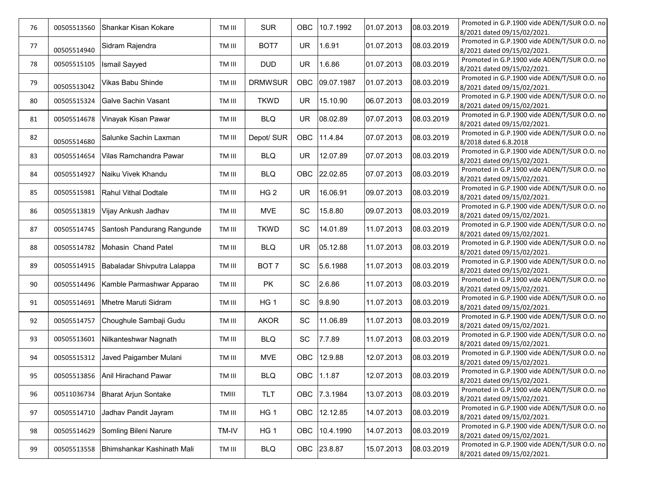| 76 | 00505513560 | Shankar Kisan Kokare        | TM III | <b>SUR</b>       | <b>OBC</b> | 10.7.1992    | 01.07.2013 | 08.03.2019 | Promoted in G.P.1900 vide ADEN/T/SUR O.O. no<br>8/2021 dated 09/15/02/2021. |
|----|-------------|-----------------------------|--------|------------------|------------|--------------|------------|------------|-----------------------------------------------------------------------------|
| 77 |             | Sidram Rajendra             | TM III | BOT7             | <b>UR</b>  | 1.6.91       | 01.07.2013 | 08.03.2019 | Promoted in G.P.1900 vide ADEN/T/SUR O.O. no                                |
|    | 00505514940 |                             |        |                  |            |              |            |            | 8/2021 dated 09/15/02/2021.                                                 |
| 78 | 00505515105 | <b>Ismail Sayyed</b>        | TM III | <b>DUD</b>       | <b>UR</b>  | 1.6.86       | 01.07.2013 | 08.03.2019 | Promoted in G.P.1900 vide ADEN/T/SUR O.O. no                                |
|    |             |                             |        |                  |            |              |            |            | 8/2021 dated 09/15/02/2021.                                                 |
| 79 |             | Vikas Babu Shinde           | TM III | <b>DRMWSUR</b>   | OBC        | 09.07.1987   | 01.07.2013 | 08.03.2019 | Promoted in G.P.1900 vide ADEN/T/SUR O.O. no                                |
|    | 00505513042 |                             |        |                  |            |              |            |            | 8/2021 dated 09/15/02/2021.                                                 |
| 80 | 00505515324 | Galve Sachin Vasant         | TM III | <b>TKWD</b>      | <b>UR</b>  | 15.10.90     | 06.07.2013 | 08.03.2019 | Promoted in G.P.1900 vide ADEN/T/SUR O.O. no                                |
|    |             |                             |        |                  |            |              |            |            | 8/2021 dated 09/15/02/2021.<br>Promoted in G.P.1900 vide ADEN/T/SUR O.O. no |
| 81 | 00505514678 | Vinayak Kisan Pawar         | TM III | <b>BLQ</b>       | <b>UR</b>  | 08.02.89     | 07.07.2013 | 08.03.2019 | 8/2021 dated 09/15/02/2021.                                                 |
|    |             |                             |        |                  |            |              |            |            | Promoted in G.P.1900 vide ADEN/T/SUR O.O. no                                |
| 82 | 00505514680 | Salunke Sachin Laxman       | TM III | Depot/ SUR       | <b>OBC</b> | 11.4.84      | 07.07.2013 | 08.03.2019 | 8/2018 dated 6.8.2018                                                       |
|    |             |                             |        |                  |            |              |            |            | Promoted in G.P.1900 vide ADEN/T/SUR O.O. no                                |
| 83 | 00505514654 | Vilas Ramchandra Pawar      | TM III | <b>BLQ</b>       | UR         | 12.07.89     | 07.07.2013 | 08.03.2019 | 8/2021 dated 09/15/02/2021.                                                 |
|    |             |                             |        |                  |            |              |            |            | Promoted in G.P.1900 vide ADEN/T/SUR O.O. no                                |
| 84 | 00505514927 | Naiku Vivek Khandu          | TM III | <b>BLQ</b>       | OBC        | 22.02.85     | 07.07.2013 | 08.03.2019 | 8/2021 dated 09/15/02/2021.                                                 |
|    |             |                             |        |                  |            |              |            |            | Promoted in G.P.1900 vide ADEN/T/SUR O.O. no                                |
| 85 | 00505515981 | Rahul Vithal Dodtale        | TM III | HG <sub>2</sub>  | <b>UR</b>  | 16.06.91     | 09.07.2013 | 08.03.2019 | 8/2021 dated 09/15/02/2021.                                                 |
| 86 | 00505513819 | Vijay Ankush Jadhav         | TM III | <b>MVE</b>       | SC         | 15.8.80      | 09.07.2013 | 08.03.2019 | Promoted in G.P.1900 vide ADEN/T/SUR O.O. no                                |
|    |             |                             |        |                  |            |              |            |            | 8/2021 dated 09/15/02/2021.                                                 |
| 87 | 00505514745 | Santosh Pandurang Rangunde  | TM III | <b>TKWD</b>      | SC         | 14.01.89     | 11.07.2013 | 08.03.2019 | Promoted in G.P.1900 vide ADEN/T/SUR O.O. no                                |
|    |             |                             |        |                  |            |              |            |            | 8/2021 dated 09/15/02/2021.                                                 |
| 88 | 00505514782 | Mohasin Chand Patel         | TM III | <b>BLQ</b>       | <b>UR</b>  | 05.12.88     | 11.07.2013 | 08.03.2019 | Promoted in G.P.1900 vide ADEN/T/SUR O.O. no                                |
|    |             |                             |        |                  |            |              |            |            | 8/2021 dated 09/15/02/2021.                                                 |
| 89 | 00505514915 | Babaladar Shivputra Lalappa | TM III | BOT <sub>7</sub> | SC         | 5.6.1988     | 11.07.2013 | 08.03.2019 | Promoted in G.P.1900 vide ADEN/T/SUR O.O. no                                |
|    |             |                             |        |                  |            |              |            |            | 8/2021 dated 09/15/02/2021.                                                 |
| 90 | 00505514496 | Kamble Parmashwar Apparao   | TM III | PK               | SC         | 2.6.86       | 11.07.2013 | 08.03.2019 | Promoted in G.P.1900 vide ADEN/T/SUR O.O. no<br>8/2021 dated 09/15/02/2021. |
|    |             |                             |        |                  |            |              |            |            | Promoted in G.P.1900 vide ADEN/T/SUR O.O. no                                |
| 91 | 00505514691 | Mhetre Maruti Sidram        | TM III | HG <sub>1</sub>  | SC         | 9.8.90       | 11.07.2013 | 08.03.2019 | 8/2021 dated 09/15/02/2021.                                                 |
|    |             |                             |        |                  |            |              |            |            | Promoted in G.P.1900 vide ADEN/T/SUR O.O. no                                |
| 92 | 00505514757 | Choughule Sambaji Gudu      | TM III | <b>AKOR</b>      | SC         | 11.06.89     | 11.07.2013 | 08.03.2019 | 8/2021 dated 09/15/02/2021.                                                 |
| 93 |             | Nilkanteshwar Nagnath       |        |                  | SC         |              |            | 08.03.2019 | Promoted in G.P.1900 vide ADEN/T/SUR O.O. no                                |
|    | 00505513601 |                             | TM III | <b>BLQ</b>       |            | 7.7.89       | 11.07.2013 |            | 8/2021 dated 09/15/02/2021.                                                 |
| 94 | 00505515312 | Javed Paigamber Mulani      | TM III | <b>MVE</b>       | OBC        | 12.9.88      | 12.07.2013 | 08.03.2019 | Promoted in G.P.1900 vide ADEN/T/SUR O.O. no                                |
|    |             |                             |        |                  |            |              |            |            | 8/2021 dated 09/15/02/2021.                                                 |
| 95 | 00505513856 | Anil Hirachand Pawar        | TM III | <b>BLQ</b>       | OBC        | 1.1.87       | 12.07.2013 | 08.03.2019 | Promoted in G.P.1900 vide ADEN/T/SUR O.O. no                                |
|    |             |                             |        |                  |            |              |            |            | 8/2021 dated 09/15/02/2021.                                                 |
| 96 | 00511036734 | <b>Bharat Arjun Sontake</b> | TMIII  | <b>TLT</b>       |            | OBC 7.3.1984 | 13.07.2013 | 08.03.2019 | Promoted in G.P.1900 vide ADEN/T/SUR O.O. no                                |
|    |             |                             |        |                  |            |              |            |            | 8/2021 dated 09/15/02/2021.                                                 |
| 97 | 00505514710 | Jadhav Pandit Jayram        | TM III | HG <sub>1</sub>  | OBC        | 12.12.85     | 14.07.2013 | 08.03.2019 | Promoted in G.P.1900 vide ADEN/T/SUR O.O. no                                |
|    |             |                             |        |                  |            |              |            |            | 8/2021 dated 09/15/02/2021.<br>Promoted in G.P.1900 vide ADEN/T/SUR O.O. no |
| 98 | 00505514629 | Somling Bileni Narure       | TM-IV  | HG <sub>1</sub>  | OBC        | 10.4.1990    | 14.07.2013 | 08.03.2019 | 8/2021 dated 09/15/02/2021.                                                 |
|    |             |                             |        |                  |            |              |            |            | Promoted in G.P.1900 vide ADEN/T/SUR O.O. no                                |
| 99 | 00505513558 | Bhimshankar Kashinath Mali  | TM III | <b>BLQ</b>       |            | OBC 23.8.87  | 15.07.2013 | 08.03.2019 | 8/2021 dated 09/15/02/2021.                                                 |
|    |             |                             |        |                  |            |              |            |            |                                                                             |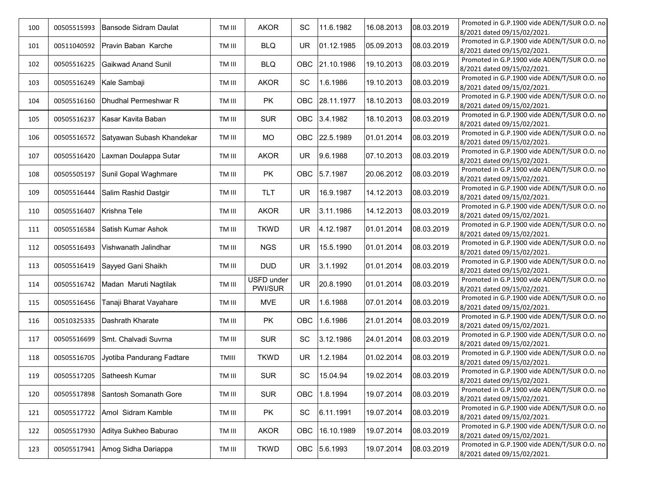| 100 |             | 00505515993 Bansode Sidram Daulat | TM III | <b>AKOR</b> | SC         | 11.6.1982    | 16.08.2013 | 08.03.2019 | Promoted in G.P.1900 vide ADEN/T/SUR O.O. no                                |
|-----|-------------|-----------------------------------|--------|-------------|------------|--------------|------------|------------|-----------------------------------------------------------------------------|
|     |             |                                   |        |             |            |              |            |            | 8/2021 dated 09/15/02/2021.                                                 |
| 101 | 00511040592 | Pravin Baban Karche               | TM III | <b>BLQ</b>  | <b>UR</b>  | 01.12.1985   | 05.09.2013 | 08.03.2019 | Promoted in G.P.1900 vide ADEN/T/SUR O.O. no<br>8/2021 dated 09/15/02/2021. |
|     |             |                                   |        |             |            |              |            |            | Promoted in G.P.1900 vide ADEN/T/SUR O.O. no                                |
| 102 | 00505516225 | Gaikwad Anand Sunil               | TM III | <b>BLQ</b>  | <b>OBC</b> | 21.10.1986   | 19.10.2013 | 08.03.2019 | 8/2021 dated 09/15/02/2021.                                                 |
|     |             |                                   |        |             |            |              |            |            | Promoted in G.P.1900 vide ADEN/T/SUR O.O. no                                |
| 103 | 00505516249 | Kale Sambaji                      | TM III | <b>AKOR</b> | SC         | 1.6.1986     | 19.10.2013 | 08.03.2019 | 8/2021 dated 09/15/02/2021.                                                 |
| 104 | 00505516160 | Dhudhal Permeshwar R              | TM III | PK          | OBC        | 28.11.1977   | 18.10.2013 | 08.03.2019 | Promoted in G.P.1900 vide ADEN/T/SUR O.O. no                                |
|     |             |                                   |        |             |            |              |            |            | 8/2021 dated 09/15/02/2021.                                                 |
| 105 | 00505516237 | Kasar Kavita Baban                | TM III | <b>SUR</b>  | <b>OBC</b> | 3.4.1982     | 18.10.2013 | 08.03.2019 | Promoted in G.P.1900 vide ADEN/T/SUR O.O. no                                |
|     |             |                                   |        |             |            |              |            |            | 8/2021 dated 09/15/02/2021.                                                 |
| 106 | 00505516572 | Satyawan Subash Khandekar         | TM III | <b>MO</b>   | OBC.       | 22.5.1989    | 01.01.2014 | 08.03.2019 | Promoted in G.P.1900 vide ADEN/T/SUR O.O. no                                |
|     |             |                                   |        |             |            |              |            |            | 8/2021 dated 09/15/02/2021.<br>Promoted in G.P.1900 vide ADEN/T/SUR O.O. no |
| 107 | 00505516420 | Laxman Doulappa Sutar             | TM III | AKOR        | UR.        | 9.6.1988     | 07.10.2013 | 08.03.2019 | 8/2021 dated 09/15/02/2021.                                                 |
|     |             |                                   |        |             |            |              |            |            | Promoted in G.P.1900 vide ADEN/T/SUR O.O. no                                |
| 108 | 00505505197 | Sunil Gopal Waghmare              | TM III | PK          |            | OBC 5.7.1987 | 20.06.2012 | 08.03.2019 | 8/2021 dated 09/15/02/2021.                                                 |
|     |             |                                   |        |             |            |              |            |            | Promoted in G.P.1900 vide ADEN/T/SUR O.O. no                                |
| 109 | 00505516444 | Salim Rashid Dastgir              | TM III | TLT         | <b>UR</b>  | 16.9.1987    | 14.12.2013 | 08.03.2019 | 8/2021 dated 09/15/02/2021.                                                 |
|     |             | Krishna Tele                      |        | <b>AKOR</b> | <b>UR</b>  | 3.11.1986    | 14.12.2013 | 08.03.2019 | Promoted in G.P.1900 vide ADEN/T/SUR O.O. no                                |
| 110 | 00505516407 |                                   | TM III |             |            |              |            |            | 8/2021 dated 09/15/02/2021.                                                 |
| 111 | 00505516584 | Satish Kumar Ashok                | TM III | <b>TKWD</b> | <b>UR</b>  | 4.12.1987    | 01.01.2014 | 08.03.2019 | Promoted in G.P.1900 vide ADEN/T/SUR O.O. no                                |
|     |             |                                   |        |             |            |              |            |            | 8/2021 dated 09/15/02/2021.                                                 |
| 112 | 00505516493 | Vishwanath Jalindhar              | TM III | <b>NGS</b>  | <b>UR</b>  | 15.5.1990    | 01.01.2014 | 08.03.2019 | Promoted in G.P.1900 vide ADEN/T/SUR O.O. no                                |
|     |             |                                   |        |             |            |              |            |            | 8/2021 dated 09/15/02/2021.                                                 |
| 113 | 00505516419 | Sayyed Gani Shaikh                | TM III | <b>DUD</b>  | <b>UR</b>  | 3.1.1992     | 01.01.2014 | 08.03.2019 | Promoted in G.P.1900 vide ADEN/T/SUR O.O. no                                |
|     |             |                                   |        | USFD under  |            |              |            |            | 8/2021 dated 09/15/02/2021.<br>Promoted in G.P.1900 vide ADEN/T/SUR O.O. no |
| 114 | 00505516742 | Madan Maruti Nagtilak             | TM III | PWI/SUR     | <b>UR</b>  | 20.8.1990    | 01.01.2014 | 08.03.2019 | 8/2021 dated 09/15/02/2021.                                                 |
|     |             |                                   |        |             |            |              |            |            | Promoted in G.P.1900 vide ADEN/T/SUR O.O. no                                |
| 115 | 00505516456 | Tanaji Bharat Vayahare            | TM III | <b>MVE</b>  | <b>UR</b>  | 1.6.1988     | 07.01.2014 | 08.03.2019 | 8/2021 dated 09/15/02/2021.                                                 |
| 116 | 00510325335 | Dashrath Kharate                  | TM III | PK          | OBC        | 1.6.1986     | 21.01.2014 | 08.03.2019 | Promoted in G.P.1900 vide ADEN/T/SUR O.O. no                                |
|     |             |                                   |        |             |            |              |            |            | 8/2021 dated 09/15/02/2021.                                                 |
| 117 | 00505516699 | Smt. Chalvadi Suvrna              | TM III | <b>SUR</b>  | SC         | 3.12.1986    | 24.01.2014 | 08.03.2019 | Promoted in G.P.1900 vide ADEN/T/SUR O.O. no                                |
|     |             |                                   |        |             |            |              |            |            | 8/2021 dated 09/15/02/2021.                                                 |
| 118 | 00505516705 | Jyotiba Pandurang Fadtare         | TMIII  | <b>TKWD</b> | <b>UR</b>  | 1.2.1984     | 01.02.2014 | 08.03.2019 | Promoted in G.P.1900 vide ADEN/T/SUR O.O. no                                |
|     |             |                                   |        |             |            |              |            |            | 8/2021 dated 09/15/02/2021.<br>Promoted in G.P.1900 vide ADEN/T/SUR O.O. no |
| 119 | 00505517205 | Satheesh Kumar                    | TM III | <b>SUR</b>  | SC         | 15.04.94     | 19.02.2014 | 08.03.2019 | 8/2021 dated 09/15/02/2021.                                                 |
|     |             |                                   |        |             |            |              |            |            | Promoted in G.P.1900 vide ADEN/T/SUR O.O. no                                |
| 120 | 00505517898 | Santosh Somanath Gore             | TM III | <b>SUR</b>  |            | OBC 1.8.1994 | 19.07.2014 | 08.03.2019 | 8/2021 dated 09/15/02/2021.                                                 |
|     |             |                                   |        |             |            |              |            |            | Promoted in G.P.1900 vide ADEN/T/SUR O.O. no                                |
| 121 |             | 00505517722 Amol Sidram Kamble    | TM III | PK          | SC         | 6.11.1991    | 19.07.2014 | 08.03.2019 | 8/2021 dated 09/15/02/2021.                                                 |
| 122 | 00505517930 | Aditya Sukheo Baburao             | TM III | <b>AKOR</b> | OBC        | 16.10.1989   | 19.07.2014 | 08.03.2019 | Promoted in G.P.1900 vide ADEN/T/SUR O.O. no                                |
|     |             |                                   |        |             |            |              |            |            | 8/2021 dated 09/15/02/2021.                                                 |
| 123 | 00505517941 | Amog Sidha Dariappa               | TM III | <b>TKWD</b> | OBC        | 5.6.1993     | 19.07.2014 | 08.03.2019 | Promoted in G.P.1900 vide ADEN/T/SUR O.O. no                                |
|     |             |                                   |        |             |            |              |            |            | 8/2021 dated 09/15/02/2021.                                                 |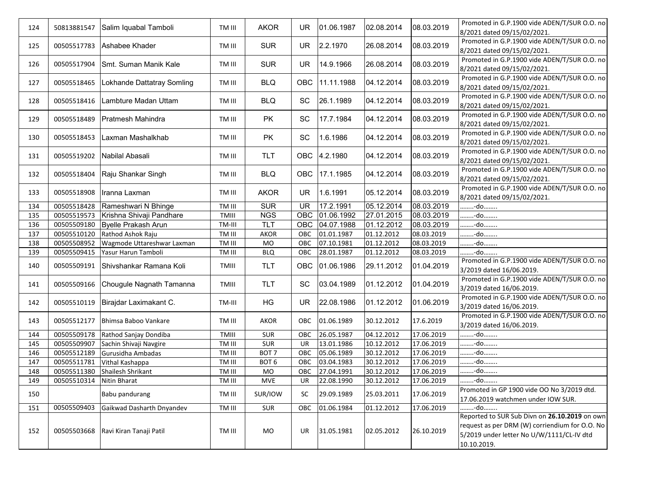| 124 | 50813881547 | Salim Iquabal Tamboli          | TM III | <b>AKOR</b>      | <b>UR</b>  | 01.06.1987   | 02.08.2014 | 08.03.2019 | Promoted in G.P.1900 vide ADEN/T/SUR O.O. no<br>8/2021 dated 09/15/02/2021.                                                                                 |
|-----|-------------|--------------------------------|--------|------------------|------------|--------------|------------|------------|-------------------------------------------------------------------------------------------------------------------------------------------------------------|
| 125 | 00505517783 | Ashabee Khader                 | TM III | <b>SUR</b>       | <b>UR</b>  | 2.2.1970     | 26.08.2014 | 08.03.2019 | Promoted in G.P.1900 vide ADEN/T/SUR O.O. no<br>8/2021 dated 09/15/02/2021.                                                                                 |
| 126 | 00505517904 | Smt. Suman Manik Kale          | TM III | <b>SUR</b>       | <b>UR</b>  | 14.9.1966    | 26.08.2014 | 08.03.2019 | Promoted in G.P.1900 vide ADEN/T/SUR O.O. no<br>8/2021 dated 09/15/02/2021.                                                                                 |
| 127 | 00505518465 | Lokhande Dattatray Somling     | TM III | <b>BLQ</b>       | <b>OBC</b> | 11.11.1988   | 04.12.2014 | 08.03.2019 | Promoted in G.P.1900 vide ADEN/T/SUR O.O. no<br>8/2021 dated 09/15/02/2021.                                                                                 |
| 128 | 00505518416 | Lambture Madan Uttam           | TM III | <b>BLQ</b>       | SC         | 26.1.1989    | 04.12.2014 | 08.03.2019 | Promoted in G.P.1900 vide ADEN/T/SUR O.O. no<br>8/2021 dated 09/15/02/2021.                                                                                 |
| 129 | 00505518489 | <b>Pratmesh Mahindra</b>       | TM III | <b>PK</b>        | SC         | 17.7.1984    | 04.12.2014 | 08.03.2019 | Promoted in G.P.1900 vide ADEN/T/SUR O.O. no<br>8/2021 dated 09/15/02/2021.                                                                                 |
| 130 | 00505518453 | Laxman Mashalkhab              | TM III | <b>PK</b>        | SC         | 1.6.1986     | 04.12.2014 | 08.03.2019 | Promoted in G.P.1900 vide ADEN/T/SUR O.O. no<br>8/2021 dated 09/15/02/2021.                                                                                 |
| 131 | 00505519202 | Nabilal Abasali                | TM III | <b>TLT</b>       |            | OBC 4.2.1980 | 04.12.2014 | 08.03.2019 | Promoted in G.P.1900 vide ADEN/T/SUR O.O. no<br>8/2021 dated 09/15/02/2021.                                                                                 |
| 132 |             | 00505518404 Raju Shankar Singh | TM III | <b>BLQ</b>       | OBC        | 17.1.1985    | 04.12.2014 | 08.03.2019 | Promoted in G.P.1900 vide ADEN/T/SUR O.O. no<br>8/2021 dated 09/15/02/2021.                                                                                 |
| 133 | 00505518908 | Iranna Laxman                  | TM III | <b>AKOR</b>      | UR         | 1.6.1991     | 05.12.2014 | 08.03.2019 | Promoted in G.P.1900 vide ADEN/T/SUR O.O. no<br>8/2021 dated 09/15/02/2021.                                                                                 |
| 134 | 00505518428 | Rameshwari N Bhinge            | TM III | <b>SUR</b>       | <b>UR</b>  | 17.2.1991    | 05.12.2014 | 08.03.2019 | -do                                                                                                                                                         |
| 135 | 00505519573 | Krishna Shivaji Pandhare       | TMIII  | <b>NGS</b>       | OBC        | 01.06.1992   | 27.01.2015 | 08.03.2019 | -do                                                                                                                                                         |
| 136 | 00505509180 | Byelle Prakash Arun            | TM-III | TLT              | OBC        | 04.07.1988   | 01.12.2012 | 08.03.2019 | -do                                                                                                                                                         |
| 137 | 00505510120 | Rathod Ashok Raju              | TM III | <b>AKOR</b>      | OBC        | 01.01.1987   | 01.12.2012 | 08.03.2019 | -do                                                                                                                                                         |
| 138 | 00505508952 | Wagmode Uttareshwar Laxman     | TM III | MO               | OBC        | 07.10.1981   | 01.12.2012 | 08.03.2019 | -do                                                                                                                                                         |
| 139 | 00505509415 | Yasur Harun Tamboli            | TM III | <b>BLQ</b>       | OBC        | 28.01.1987   | 01.12.2012 | 08.03.2019 | -do                                                                                                                                                         |
| 140 | 00505509191 | Shivshankar Ramana Koli        | TMIII  | <b>TLT</b>       | <b>OBC</b> | 01.06.1986   | 29.11.2012 | 01.04.2019 | Promoted in G.P.1900 vide ADEN/T/SUR O.O. no<br>3/2019 dated 16/06.2019.                                                                                    |
| 141 | 00505509166 | Chougule Nagnath Tamanna       | TMIII  | <b>TLT</b>       | SC         | 03.04.1989   | 01.12.2012 | 01.04.2019 | Promoted in G.P.1900 vide ADEN/T/SUR O.O. no<br>3/2019 dated 16/06.2019.                                                                                    |
| 142 | 00505510119 | Birajdar Laximakant C.         | TM-III | HG               | <b>UR</b>  | 22.08.1986   | 01.12.2012 | 01.06.2019 | Promoted in G.P.1900 vide ADEN/T/SUR O.O. no<br>3/2019 dated 16/06.2019.                                                                                    |
| 143 | 00505512177 | Bhimsa Baboo Vankare           | TM III | <b>AKOR</b>      | OBC        | 01.06.1989   | 30.12.2012 | 17.6.2019  | Promoted in G.P.1900 vide ADEN/T/SUR O.O. no<br>3/2019 dated 16/06.2019.                                                                                    |
| 144 | 00505509178 | Rathod Sanjay Dondiba          | TMIII  | SUR              | OBC        | 26.05.1987   | 04.12.2012 | 17.06.2019 | -do                                                                                                                                                         |
| 145 | 00505509907 | Sachin Shivaji Navgire         | TM III | SUR              | UR         | 13.01.1986   | 10.12.2012 | 17.06.2019 | -do                                                                                                                                                         |
| 146 | 00505512189 | Gurusidha Ambadas              | TM III | BOT <sub>7</sub> | OBC        | 05.06.1989   | 30.12.2012 | 17.06.2019 | -do                                                                                                                                                         |
| 147 | 00505511781 | Vithal Kashappa                | TM III | BOT <sub>6</sub> | OBC        | 03.04.1983   | 30.12.2012 | 17.06.2019 | -do                                                                                                                                                         |
| 148 | 00505511380 | Shailesh Shrikant              | TM III | MO               | OBC        | 27.04.1991   | 30.12.2012 | 17.06.2019 | -do                                                                                                                                                         |
| 149 | 00505510314 | Nitin Bharat                   | TM III | <b>MVE</b>       | <b>UR</b>  | 22.08.1990   | 30.12.2012 | 17.06.2019 | -do                                                                                                                                                         |
| 150 |             | Babu pandurang                 | TM III | SUR/IOW          | <b>SC</b>  | 29.09.1989   | 25.03.2011 | 17.06.2019 | Promoted in GP 1900 vide OO No 3/2019 dtd.<br>17.06.2019 watchmen under IOW SUR.                                                                            |
| 151 | 00505509403 | Gaikwad Dasharth Dnyandev      | TM III | <b>SUR</b>       | OBC        | 01.06.1984   | 01.12.2012 | 17.06.2019 | -do                                                                                                                                                         |
| 152 | 00505503668 | Ravi Kiran Tanaji Patil        | TM III | MO               | UR         | 31.05.1981   | 02.05.2012 | 26.10.2019 | Reported to SUR Sub Divn on 26.10.2019 on own<br>request as per DRM (W) corriendium for O.O. No<br>5/2019 under letter No U/W/1111/CL-IV dtd<br>10.10.2019. |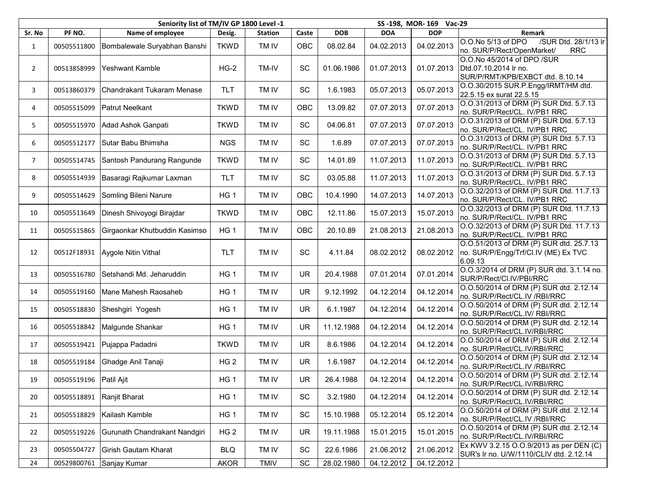|                |                        | Seniority list of TM/IV GP 1800 Level -1 | SS-198, MOR-169 Vac-29 |                |           |            |            |            |                                                                                            |
|----------------|------------------------|------------------------------------------|------------------------|----------------|-----------|------------|------------|------------|--------------------------------------------------------------------------------------------|
| Sr. No         | PF NO.                 | Name of employee                         | Desig.                 | <b>Station</b> | Caste     | <b>DOB</b> | <b>DOA</b> | <b>DOP</b> | Remark                                                                                     |
| $\mathbf{1}$   | 00505511800            | Bombalewale Suryabhan Banshi             | <b>TKWD</b>            | TM IV          | OBC       | 08.02.84   | 04.02.2013 | 04.02.2013 | /SUR Dtd. 28/1/13 lr<br>O.O.No 5/13 of DPO<br>no. SUR/P/Rect/OpenMarket/<br><b>RRC</b>     |
| $\overline{2}$ | 00513858999            | Yeshwant Kamble                          | $HG-2$                 | TM-IV          | SC        | 01.06.1986 | 01.07.2013 | 01.07.2013 | O.O.No 45/2014 of DPO /SUR<br>Dtd.07.10.2014 Ir no.<br>SUR/P/RMT/KPB/EXBCT dtd. 8.10.14    |
| 3              | 00513860379            | Chandrakant Tukaram Menase               | <b>TLT</b>             | TM IV          | SC        | 1.6.1983   | 05.07.2013 | 05.07.2013 | O.O.30/2015 SUR.P.Engg/IRMT/HM dtd.<br>22.5.15 ex surat 22.5.15                            |
| 4              | 00505515099            | <b>Patrut Neelkant</b>                   | <b>TKWD</b>            | TM IV          | OBC       | 13.09.82   | 07.07.2013 | 07.07.2013 | O.O.31/2013 of DRM (P) SUR Dtd. 5.7.13<br>no. SUR/P/Rect/CL. IV/PB1 RRC                    |
| 5              | 00505515970            | Adad Ashok Ganpati                       | <b>TKWD</b>            | TM IV          | SC        | 04.06.81   | 07.07.2013 | 07.07.2013 | O.O.31/2013 of DRM (P) SUR Dtd. 5.7.13<br>no. SUR/P/Rect/CL. IV/PB1 RRC                    |
| 6              | 00505512177            | Sutar Babu Bhimsha                       | <b>NGS</b>             | TM IV          | SC        | 1.6.89     | 07.07.2013 | 07.07.2013 | O.O.31/2013 of DRM (P) SUR Dtd. 5.7.13<br>no. SUR/P/Rect/CL. IV/PB1 RRC                    |
| $\overline{7}$ | 00505514745            | Santosh Pandurang Rangunde               | <b>TKWD</b>            | TM IV          | SC        | 14.01.89   | 11.07.2013 | 11.07.2013 | O.O.31/2013 of DRM (P) SUR Dtd. 5.7.13<br>no. SUR/P/Rect/CL. IV/PB1 RRC                    |
| 8              | 00505514939            | Basaragi Rajkumar Laxman                 | <b>TLT</b>             | TM IV          | SC        | 03.05.88   | 11.07.2013 | 11.07.2013 | O.O.31/2013 of DRM (P) SUR Dtd. 5.7.13<br>no. SUR/P/Rect/CL. IV/PB1 RRC                    |
| 9              | 00505514629            | Somling Bileni Narure                    | HG <sub>1</sub>        | TM IV          | OBC       | 10.4.1990  | 14.07.2013 | 14.07.2013 | O.O.32/2013 of DRM (P) SUR Dtd. 11.7.13<br>no. SUR/P/Rect/CL. IV/PB1 RRC                   |
| 10             | 00505513649            | Dinesh Shivoyogi Birajdar                | <b>TKWD</b>            | TM IV          | OBC       | 12.11.86   | 15.07.2013 | 15.07.2013 | O.O.32/2013 of DRM (P) SUR Dtd. 11.7.13<br>no. SUR/P/Rect/CL. IV/PB1 RRC                   |
| 11             | 00505515865            | Girgaonkar Khutbuddin Kasimso            | HG <sub>1</sub>        | TM IV          | OBC       | 20.10.89   | 21.08.2013 | 21.08.2013 | O.O.32/2013 of DRM (P) SUR Dtd. 11.7.13<br>no. SUR/P/Rect/CL. IV/PB1 RRC                   |
| 12             | 00512F18931            | Aygole Nitin Vithal                      | <b>TLT</b>             | TM IV          | SC        | 4.11.84    | 08.02.2012 | 08.02.2012 | O.O.51/2013 of DRM (P) SUR dtd. 25.7.13<br>no. SUR/P/Engg/Trf/Cl.IV (ME) Ex TVC<br>6.09.13 |
| 13             | 00505516780            | Setshandi Md. Jeharuddin                 | HG <sub>1</sub>        | TM IV          | <b>UR</b> | 20.4.1988  | 07.01.2014 | 07.01.2014 | O.O.3/2014 of DRM (P) SUR dtd. 3.1.14 no.<br>SUR/P/Rect/Cl.IV/PBI/RRC                      |
| 14             | 00505519160            | Mane Mahesh Raosaheb                     | HG <sub>1</sub>        | TM IV          | <b>UR</b> | 9.12.1992  | 04.12.2014 | 04.12.2014 | O.O.50/2014 of DRM (P) SUR dtd. 2.12.14<br>no. SUR/P/Rect/CL.IV /RBI/RRC                   |
| 15             | 00505518830            | Sheshgiri Yogesh                         | HG <sub>1</sub>        | TM IV          | <b>UR</b> | 6.1.1987   | 04.12.2014 | 04.12.2014 | O.O.50/2014 of DRM (P) SUR dtd. 2.12.14<br>no. SUR/P/Rect/CL.IV/ RBI/RRC                   |
| 16             | 00505518842            | Malgunde Shankar                         | HG 1                   | TM IV          | <b>UR</b> | 11.12.1988 | 04.12.2014 | 04.12.2014 | O.O.50/2014 of DRM (P) SUR dtd. 2.12.14<br>no. SUR/P/Rect/CL.IV/RBI/RRC                    |
| 17             | 00505519421            | Pujappa Padadni                          | <b>TKWD</b>            | TM IV          | <b>UR</b> | 8.6.1986   | 04.12.2014 | 04.12.2014 | O.O.50/2014 of DRM (P) SUR dtd. 2.12.14<br>no. SUR/P/Rect/CL.IV/RBI/RRC                    |
| 18             | 00505519184            | Ghadge Anil Tanaji                       | HG <sub>2</sub>        | TM IV          | <b>UR</b> | 1.6.1987   | 04.12.2014 | 04.12.2014 | O.O.50/2014 of DRM (P) SUR dtd. 2.12.14<br>no. SUR/P/Rect/CL.IV /RBI/RRC                   |
| 19             | 00505519196 Patil Ajit |                                          | HG <sub>1</sub>        | TM IV          | UR        | 26.4.1988  | 04.12.2014 | 04.12.2014 | O.O.50/2014 of DRM (P) SUR dtd. 2.12.14<br>no. SUR/P/Rect/CL.IV/RBI/RRC                    |
| 20             | 00505518891            | Ranjit Bharat                            | HG <sub>1</sub>        | TM IV          | SC        | 3.2.1980   | 04.12.2014 | 04.12.2014 | O.O.50/2014 of DRM (P) SUR dtd. 2.12.14<br>no. SUR/P/Rect/CL.IV/RBI/RRC                    |
| 21             | 00505518829            | Kailash Kamble                           | HG <sub>1</sub>        | TM IV          | SC        | 15.10.1988 | 05.12.2014 | 05.12.2014 | O.O.50/2014 of DRM (P) SUR dtd. 2.12.14<br>no. SUR/P/Rect/CL.IV /RBI/RRC                   |
| 22             | 00505519226            | Gurunath Chandrakant Nandgiri            | HG <sub>2</sub>        | TM IV          | <b>UR</b> | 19.11.1988 | 15.01.2015 | 15.01.2015 | O.O.50/2014 of DRM (P) SUR dtd. 2.12.14<br>no. SUR/P/Rect/CL.IV/RBI/RRC                    |
| 23             | 00505504727            | Girish Gautam Kharat                     | <b>BLQ</b>             | TM IV          | SC        | 22.6.1986  | 21.06.2012 | 21.06.2012 | Ex KWV 3.2.15 O.O.9/2013 as per DEN (C)<br>SUR's Ir no. U/W/1110/CLIV dtd. 2.12.14         |
| 24             | 00529800761            | Sanjay Kumar                             | <b>AKOR</b>            | TMIV           | SC        | 28.02.1980 | 04.12.2012 | 04.12.2012 |                                                                                            |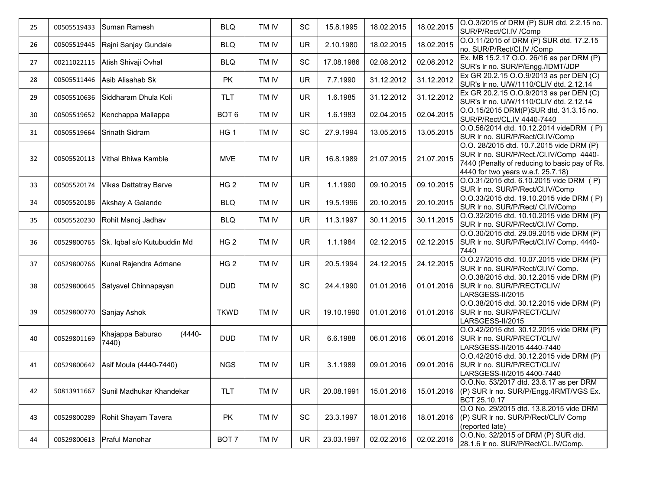| 25 | 00505519433 | Suman Ramesh                           | <b>BLQ</b>       | TM IV | SC        | 15.8.1995  | 18.02.2015 | 18.02.2015 | O.O.3/2015 of DRM (P) SUR dtd. 2.2.15 no.<br>SUR/P/Rect/Cl.IV /Comp                                                                                                        |
|----|-------------|----------------------------------------|------------------|-------|-----------|------------|------------|------------|----------------------------------------------------------------------------------------------------------------------------------------------------------------------------|
| 26 | 00505519445 | Rajni Sanjay Gundale                   | <b>BLQ</b>       | TM IV | <b>UR</b> | 2.10.1980  | 18.02.2015 | 18.02.2015 | O.O.11/2015 of DRM (P) SUR dtd. 17.2.15<br>no. SUR/P/Rect/Cl.IV /Comp                                                                                                      |
| 27 | 00211022115 | Atish Shivaji Ovhal                    | <b>BLQ</b>       | TM IV | SC        | 17.08.1986 | 02.08.2012 | 02.08.2012 | Ex. MB 15.2.17 O.O. 26/16 as per DRM (P)<br>SUR's Ir no. SUR/P/Engg./IDMT/JDP                                                                                              |
| 28 | 00505511446 | Asib Alisahab Sk                       | <b>PK</b>        | TM IV | <b>UR</b> | 7.7.1990   | 31.12.2012 | 31.12.2012 | Ex GR 20.2.15 O.O.9/2013 as per DEN (C)<br>SUR's Ir no. U/W/1110/CLIV dtd. 2.12.14                                                                                         |
| 29 | 00505510636 | Siddharam Dhula Koli                   | <b>TLT</b>       | TM IV | <b>UR</b> | 1.6.1985   | 31.12.2012 | 31.12.2012 | Ex GR 20.2.15 O.O.9/2013 as per DEN (C)<br>SUR's Ir no. U/W/1110/CLIV dtd. 2.12.14                                                                                         |
| 30 | 00505519652 | Kenchappa Mallappa                     | BOT <sub>6</sub> | TM IV | UR        | 1.6.1983   | 02.04.2015 | 02.04.2015 | O.O.15/2015 DRM(P)SUR dtd. 31.3.15 no.<br>SUR/P/Rect/CL.IV 4440-7440                                                                                                       |
| 31 | 00505519664 | Srinath Sidram                         | HG <sub>1</sub>  | TM IV | SC        | 27.9.1994  | 13.05.2015 | 13.05.2015 | O.O.56/2014 dtd. 10.12.2014 videDRM (P)<br>SUR Ir no. SUR/P/Rect/Cl.IV/Comp                                                                                                |
| 32 | 00505520113 | Vithal Bhiwa Kamble                    | <b>MVE</b>       | TM IV | <b>UR</b> | 16.8.1989  | 21.07.2015 | 21.07.2015 | O.O. 28/2015 dtd. 10.7.2015 vide DRM (P)<br>SUR Ir no. SUR/P/Rect./Cl.IV/Comp 4440-<br>7440 (Penalty of reducing to basic pay of Rs.<br>4440 for two years w.e.f. 25.7.18) |
| 33 | 00505520174 | <b>Vikas Dattatray Barve</b>           | HG <sub>2</sub>  | TM IV | UR        | 1.1.1990   | 09.10.2015 | 09.10.2015 | O.O.31/2015 dtd. 6.10.2015 vide DRM (P)<br>SUR Ir no. SUR/P/Rect/Cl.IV/Comp                                                                                                |
| 34 | 00505520186 | Akshay A Galande                       | <b>BLQ</b>       | TM IV | <b>UR</b> | 19.5.1996  | 20.10.2015 | 20.10.2015 | O.O.33/2015 dtd. 19.10.2015 vide DRM (P)<br>SUR Ir no. SUR/P/Rect/ CI.IV/Comp                                                                                              |
| 35 | 00505520230 | Rohit Manoj Jadhav                     | <b>BLQ</b>       | TM IV | <b>UR</b> | 11.3.1997  | 30.11.2015 | 30.11.2015 | O.O.32/2015 dtd. 10.10.2015 vide DRM (P)<br>SUR Ir no. SUR/P/Rect/Cl.IV/ Comp.                                                                                             |
| 36 | 00529800765 | Sk. Iqbal s/o Kutubuddin Md            | HG <sub>2</sub>  | TM IV | <b>UR</b> | 1.1.1984   | 02.12.2015 | 02.12.2015 | O.O.30/2015 dtd. 29.09.2015 vide DRM (P)<br>SUR Ir no. SUR/P/Rect/Cl.IV/ Comp. 4440-<br>7440                                                                               |
| 37 | 00529800766 | Kunal Rajendra Admane                  | HG <sub>2</sub>  | TM IV | <b>UR</b> | 20.5.1994  | 24.12.2015 | 24.12.2015 | O.O.27/2015 dtd. 10.07.2015 vide DRM (P)<br>SUR Ir no. SUR/P/Rect/Cl.IV/ Comp.                                                                                             |
| 38 | 00529800645 | Satyavel Chinnapayan                   | <b>DUD</b>       | TM IV | SC        | 24.4.1990  | 01.01.2016 | 01.01.2016 | O.O.38/2015 dtd. 30.12.2015 vide DRM (P)<br>SUR Ir no. SUR/P/RECT/CLIV/<br>LARSGESS-II/2015                                                                                |
| 39 | 00529800770 | Sanjay Ashok                           | <b>TKWD</b>      | TM IV | <b>UR</b> | 19.10.1990 | 01.01.2016 | 01.01.2016 | O.O.38/2015 dtd. 30.12.2015 vide DRM (P)<br>SUR Ir no. SUR/P/RECT/CLIV/<br>LARSGESS-II/2015                                                                                |
| 40 | 00529801169 | $(4440 -$<br>Khajappa Baburao<br>7440) | <b>DUD</b>       | TM IV | <b>UR</b> | 6.6.1988   | 06.01.2016 | 06.01.2016 | O.O.42/2015 dtd. 30.12.2015 vide DRM (P)<br>SUR Ir no. SUR/P/RECT/CLIV/<br>LARSGESS-II/2015 4440-7440                                                                      |
| 41 | 00529800642 | Asif Moula (4440-7440)                 | <b>NGS</b>       | TM IV | <b>UR</b> | 3.1.1989   | 09.01.2016 | 09.01.2016 | O.O.42/2015 dtd. 30.12.2015 vide DRM (P)<br>SUR Ir no. SUR/P/RECT/CLIV/<br>LARSGESS-II/2015 4400-7440                                                                      |
| 42 | 50813911667 | Sunil Madhukar Khandekar               | <b>TLT</b>       | TM IV | <b>UR</b> | 20.08.1991 | 15.01.2016 |            | O.O.No. 53/2017 dtd. 23.8.17 as per DRM<br>15.01.2016 (P) SUR Ir no. SUR/P/Engg./IRMT/VGS Ex.<br>BCT 25.10.17                                                              |
| 43 | 00529800289 | Rohit Shayam Tavera                    | PK               | TM IV | SC        | 23.3.1997  | 18.01.2016 | 18.01.2016 | O.O No. 29/2015 dtd. 13.8.2015 vide DRM<br>(P) SUR Ir no. SUR/P/Rect/CLIV Comp<br>(reported late)                                                                          |
| 44 | 00529800613 | Praful Manohar                         | BOT 7            | TM IV | <b>UR</b> | 23.03.1997 | 02.02.2016 | 02.02.2016 | O.O.No. 32/2015 of DRM (P) SUR dtd.<br>28.1.6 Ir no. SUR/P/Rect/CL.IV/Comp.                                                                                                |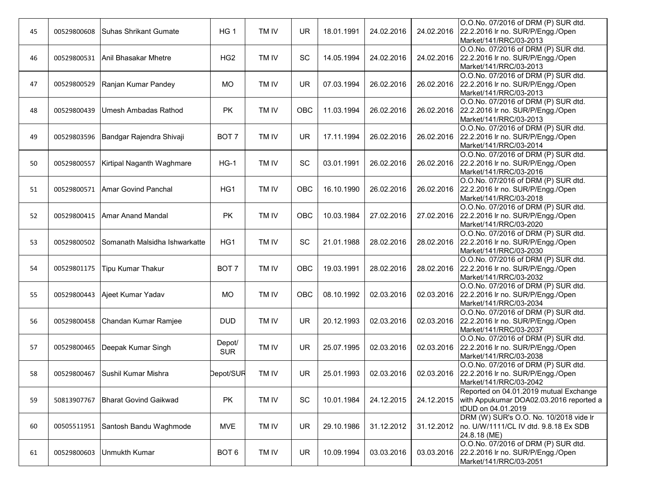| 45 | 00529800608 | lSuhas Shrikant Gumate           | HG <sub>1</sub>      | TM IV | <b>UR</b> | 18.01.1991 | 24.02.2016 | 24.02.2016 | O.O.No. 07/2016 of DRM (P) SUR dtd.<br>22.2.2016 Ir no. SUR/P/Engg./Open<br>Market/141/RRC/03-2013      |
|----|-------------|----------------------------------|----------------------|-------|-----------|------------|------------|------------|---------------------------------------------------------------------------------------------------------|
| 46 |             | 00529800531 Anil Bhasakar Mhetre | HG <sub>2</sub>      | TM IV | SC        | 14.05.1994 | 24.02.2016 | 24.02.2016 | O.O.No. 07/2016 of DRM (P) SUR dtd.<br>22.2.2016 Ir no. SUR/P/Engg./Open<br>Market/141/RRC/03-2013      |
| 47 | 00529800529 | Ranjan Kumar Pandey              | MO                   | TM IV | <b>UR</b> | 07.03.1994 | 26.02.2016 | 26.02.2016 | O.O.No. 07/2016 of DRM (P) SUR dtd.<br>22.2.2016 Ir no. SUR/P/Engg./Open<br>Market/141/RRC/03-2013      |
| 48 | 00529800439 | IUmesh Ambadas Rathod            | PK                   | TM IV | OBC       | 11.03.1994 | 26.02.2016 | 26.02.2016 | O.O.No. 07/2016 of DRM (P) SUR dtd.<br>22.2.2016 Ir no. SUR/P/Engg./Open<br>Market/141/RRC/03-2013      |
| 49 | 00529803596 | Bandgar Rajendra Shivaji         | BOT <sub>7</sub>     | TM IV | <b>UR</b> | 17.11.1994 | 26.02.2016 | 26.02.2016 | O.O.No. 07/2016 of DRM (P) SUR dtd.<br>22.2.2016 Ir no. SUR/P/Engg./Open<br>Market/141/RRC/03-2014      |
| 50 | 00529800557 | Kirtipal Naganth Waghmare        | $HG-1$               | TM IV | SC        | 03.01.1991 | 26.02.2016 | 26.02.2016 | O.O.No. 07/2016 of DRM (P) SUR dtd.<br>22.2.2016 Ir no. SUR/P/Engg./Open<br>Market/141/RRC/03-2016      |
| 51 | 00529800571 | Amar Govind Panchal              | HG1                  | TM IV | OBC       | 16.10.1990 | 26.02.2016 | 26.02.2016 | O.O.No. 07/2016 of DRM (P) SUR dtd.<br>22.2.2016 Ir no. SUR/P/Engg./Open<br>Market/141/RRC/03-2018      |
| 52 | 00529800415 | Amar Anand Mandal                | <b>PK</b>            | TM IV | OBC       | 10.03.1984 | 27.02.2016 | 27.02.2016 | O.O.No. 07/2016 of DRM (P) SUR dtd.<br>22.2.2016 Ir no. SUR/P/Engg./Open<br>Market/141/RRC/03-2020      |
| 53 | 00529800502 | Somanath Malsidha Ishwarkatte    | HG1                  | TM IV | SC        | 21.01.1988 | 28.02.2016 | 28.02.2016 | O.O.No. 07/2016 of DRM (P) SUR dtd.<br>22.2.2016 Ir no. SUR/P/Engg./Open<br>Market/141/RRC/03-2030      |
| 54 | 00529801175 | <b>Tipu Kumar Thakur</b>         | BOT <sub>7</sub>     | TM IV | OBC       | 19.03.1991 | 28.02.2016 | 28.02.2016 | O.O.No. 07/2016 of DRM (P) SUR dtd.<br>22.2.2016 Ir no. SUR/P/Engg./Open<br>Market/141/RRC/03-2032      |
| 55 | 00529800443 | Ajeet Kumar Yadav                | <b>MO</b>            | TM IV | OBC       | 08.10.1992 | 02.03.2016 | 02.03.2016 | O.O.No. 07/2016 of DRM (P) SUR dtd.<br>22.2.2016 Ir no. SUR/P/Engg./Open<br>Market/141/RRC/03-2034      |
| 56 | 00529800458 | Chandan Kumar Ramjee             | <b>DUD</b>           | TM IV | <b>UR</b> | 20.12.1993 | 02.03.2016 | 02.03.2016 | O.O.No. 07/2016 of DRM (P) SUR dtd.<br>22.2.2016 Ir no. SUR/P/Engg./Open<br>Market/141/RRC/03-2037      |
| 57 | 00529800465 | Deepak Kumar Singh               | Depot/<br><b>SUR</b> | TM IV | <b>UR</b> | 25.07.1995 | 02.03.2016 | 02.03.2016 | O.O.No. 07/2016 of DRM (P) SUR dtd.<br>22.2.2016 Ir no. SUR/P/Engg./Open<br>Market/141/RRC/03-2038      |
| 58 | 00529800467 | Sushil Kumar Mishra              | Depot/SUR            | TM IV | <b>UR</b> | 25.01.1993 | 02.03.2016 | 02.03.2016 | O.O.No. 07/2016 of DRM (P) SUR dtd.<br>22.2.2016 Ir no. SUR/P/Engg./Open<br>Market/141/RRC/03-2042      |
| 59 | 50813907767 | <b>Bharat Govind Gaikwad</b>     | PK                   | TM IV | SC        | 10.01.1984 | 24.12.2015 | 24.12.2015 | Reported on 04.01.2019 mutual Exchange<br>with Appukumar DOA02.03.2016 reported a<br>tDUD on 04.01.2019 |
| 60 | 00505511951 | Santosh Bandu Waghmode           | <b>MVE</b>           | TM IV | <b>UR</b> | 29.10.1986 | 31.12.2012 | 31.12.2012 | DRM (W) SUR's O.O. No. 10/2018 vide Ir<br>no. U/W/1111/CL IV dtd. 9.8.18 Ex SDB<br>24.8.18 (ME)         |
| 61 | 00529800603 | <b>Unmukth Kumar</b>             | BOT <sub>6</sub>     | TM IV | <b>UR</b> | 10.09.1994 | 03.03.2016 | 03.03.2016 | O.O.No. 07/2016 of DRM (P) SUR dtd.<br>22.2.2016 Ir no. SUR/P/Engg./Open<br>Market/141/RRC/03-2051      |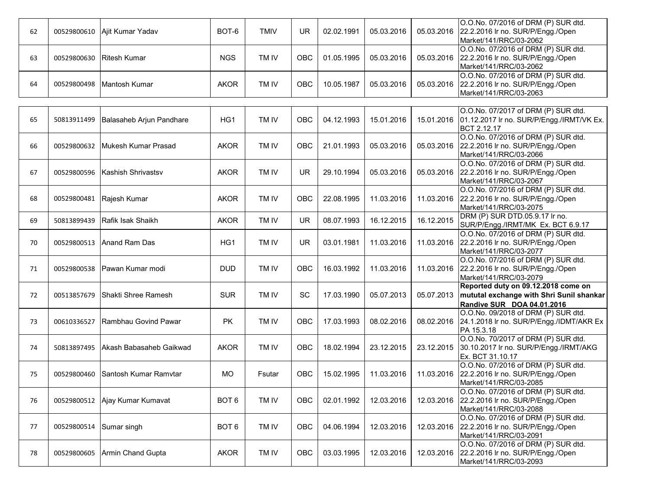| 62 | 00529800610 | Ajit Kumar Yadav         | BOT-6            | <b>TMIV</b> | <b>UR</b> | 02.02.1991 | 05.03.2016 | 05.03.2016 | O.O.No. 07/2016 of DRM (P) SUR dtd.<br>22.2.2016 Ir no. SUR/P/Engg./Open<br>Market/141/RRC/03-2062            |
|----|-------------|--------------------------|------------------|-------------|-----------|------------|------------|------------|---------------------------------------------------------------------------------------------------------------|
| 63 | 00529800630 | <b>Ritesh Kumar</b>      | <b>NGS</b>       | TM IV       | OBC       | 01.05.1995 | 05.03.2016 | 05.03.2016 | O.O.No. 07/2016 of DRM (P) SUR dtd.<br>22.2.2016 Ir no. SUR/P/Engg./Open<br>Market/141/RRC/03-2062            |
| 64 | 00529800498 | Mantosh Kumar            | <b>AKOR</b>      | TM IV       | OBC       | 10.05.1987 | 05.03.2016 | 05.03.2016 | O.O.No. 07/2016 of DRM (P) SUR dtd.<br>22.2.2016 Ir no. SUR/P/Engg./Open<br>Market/141/RRC/03-2063            |
|    |             |                          |                  |             |           |            |            |            |                                                                                                               |
| 65 | 50813911499 | Balasaheb Arjun Pandhare | HG1              | TM IV       | OBC       | 04.12.1993 | 15.01.2016 | 15.01.2016 | O.O.No. 07/2017 of DRM (P) SUR dtd.<br>01.12.2017 Ir no. SUR/P/Engg./IRMT/VK Ex.<br>BCT 2.12.17               |
| 66 | 00529800632 | lMukesh Kumar Prasad     | <b>AKOR</b>      | TM IV       | OBC       | 21.01.1993 | 05.03.2016 | 05.03.2016 | O.O.No. 07/2016 of DRM (P) SUR dtd.<br>22.2.2016 Ir no. SUR/P/Engg./Open<br>Market/141/RRC/03-2066            |
| 67 | 00529800596 | Kashish Shrivastsv       | <b>AKOR</b>      | TM IV       | <b>UR</b> | 29.10.1994 | 05.03.2016 | 05.03.2016 | O.O.No. 07/2016 of DRM (P) SUR dtd.<br>22.2.2016 Ir no. SUR/P/Engg./Open<br>Market/141/RRC/03-2067            |
| 68 | 00529800481 | Rajesh Kumar             | <b>AKOR</b>      | TM IV       | OBC       | 22.08.1995 | 11.03.2016 | 11.03.2016 | O.O.No. 07/2016 of DRM (P) SUR dtd.<br>22.2.2016 Ir no. SUR/P/Engg./Open<br>Market/141/RRC/03-2075            |
| 69 | 50813899439 | Rafik Isak Shaikh        | <b>AKOR</b>      | TM IV       | <b>UR</b> | 08.07.1993 | 16.12.2015 | 16.12.2015 | DRM (P) SUR DTD.05.9.17 Ir no.<br>SUR/P/Engg./IRMT/MK Ex. BCT 6.9.17                                          |
| 70 | 00529800513 | Anand Ram Das            | HG1              | TM IV       | <b>UR</b> | 03.01.1981 | 11.03.2016 | 11.03.2016 | O.O.No. 07/2016 of DRM (P) SUR dtd.<br>22.2.2016 Ir no. SUR/P/Engg./Open<br>Market/141/RRC/03-2077            |
| 71 | 00529800538 | Pawan Kumar modi         | <b>DUD</b>       | TM IV       | OBC       | 16.03.1992 | 11.03.2016 | 11.03.2016 | O.O.No. 07/2016 of DRM (P) SUR dtd.<br>22.2.2016 Ir no. SUR/P/Engg./Open<br>Market/141/RRC/03-2079            |
| 72 | 00513857679 | Shakti Shree Ramesh      | <b>SUR</b>       | TM IV       | SC        | 17.03.1990 | 05.07.2013 | 05.07.2013 | Reported duty on 09.12.2018 come on<br>mututal exchange with Shri Sunil shankar<br>Randive SUR DOA 04.01.2016 |
| 73 | 00610336527 | Rambhau Govind Pawar     | PK               | TM IV       | OBC       | 17.03.1993 | 08.02.2016 | 08.02.2016 | O.O.No. 09/2018 of DRM (P) SUR dtd.<br>24.1.2018 Ir no. SUR/P/Engg./IDMT/AKR Ex<br>PA 15.3.18                 |
| 74 | 50813897495 | Akash Babasaheb Gaikwad  | <b>AKOR</b>      | TM IV       | OBC       | 18.02.1994 | 23.12.2015 | 23.12.2015 | O.O.No. 70/2017 of DRM (P) SUR dtd.<br>30.10.2017 Ir no. SUR/P/Engg./IRMT/AKG<br>Ex. BCT 31.10.17             |
| 75 | 00529800460 | Santosh Kumar Ramvtar    | <b>MO</b>        | Fsutar      | OBC       | 15.02.1995 | 11.03.2016 | 11.03.2016 | O.O.No. 07/2016 of DRM (P) SUR dtd.<br>22.2.2016 Ir no. SUR/P/Engg./Open<br>Market/141/RRC/03-2085            |
| 76 | 00529800512 | Ajay Kumar Kumavat       | BOT <sub>6</sub> | TM IV       | OBC       | 02.01.1992 | 12.03.2016 | 12.03.2016 | O.O.No. 07/2016 of DRM (P) SUR dtd.<br>22.2.2016 Ir no. SUR/P/Engg./Open<br>Market/141/RRC/03-2088            |
| 77 | 00529800514 | Sumar singh              | BOT <sub>6</sub> | TM IV       | OBC       | 04.06.1994 | 12.03.2016 | 12.03.2016 | O.O.No. 07/2016 of DRM (P) SUR dtd.<br>22.2.2016 Ir no. SUR/P/Engg./Open<br>Market/141/RRC/03-2091            |
| 78 | 00529800605 | Armin Chand Gupta        | <b>AKOR</b>      | TM IV       | OBC       | 03.03.1995 | 12.03.2016 | 12.03.2016 | O.O.No. 07/2016 of DRM (P) SUR dtd.<br>22.2.2016 Ir no. SUR/P/Engg./Open<br>Market/141/RRC/03-2093            |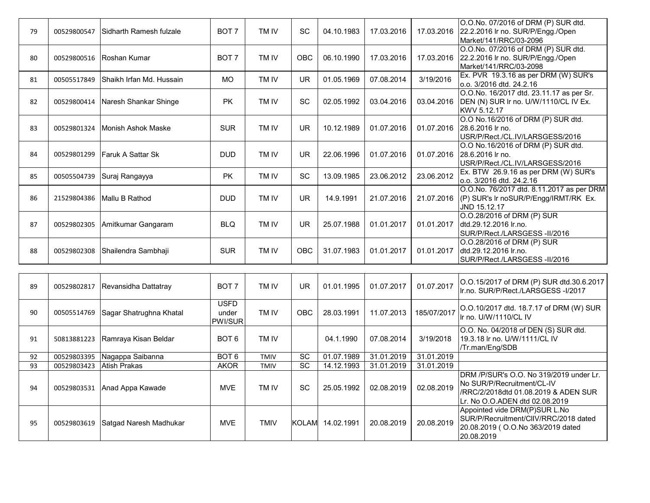| 00529800547 | Sidharth Ramesh fulzale  | BOT <sub>7</sub>                             | TM IV            | SC              | 04.10.1983 | 17.03.2016 | 17.03.2016  | O.O.No. 07/2016 of DRM (P) SUR dtd.<br>22.2.2016 Ir no. SUR/P/Engg./Open<br>Market/141/RRC/03-2096 |
|-------------|--------------------------|----------------------------------------------|------------------|-----------------|------------|------------|-------------|----------------------------------------------------------------------------------------------------|
| 00529800516 | <b>Roshan Kumar</b>      | BOT <sub>7</sub>                             | TM IV            | OBC             | 06.10.1990 | 17.03.2016 | 17.03.2016  | O.O.No. 07/2016 of DRM (P) SUR dtd.<br>22.2.2016 Ir no. SUR/P/Engg./Open<br>Market/141/RRC/03-2098 |
| 00505517849 | Shaikh Irfan Md. Hussain | <b>MO</b>                                    | TM IV            | <b>UR</b>       | 01.05.1969 | 07.08.2014 | 3/19/2016   | Ex. PVR 19.3.16 as per DRM (W) SUR's<br>o.o. 3/2016 dtd. 24.2.16                                   |
| 00529800414 | Naresh Shankar Shinge    | PK                                           | TM IV            | SC              | 02.05.1992 | 03.04.2016 | 03.04.2016  | O.O.No. 16/2017 dtd. 23.11.17 as per Sr.<br>DEN (N) SUR Ir no. U/W/1110/CL IV Ex.<br>KWV 5.12.17   |
| 00529801324 | Monish Ashok Maske       | <b>SUR</b>                                   | TM IV            | <b>UR</b>       | 10.12.1989 | 01.07.2016 | 01.07.2016  | O.O No.16/2016 of DRM (P) SUR dtd.<br>28.6.2016 lr no.<br>USR/P/Rect./CL.IV/LARSGESS/2016          |
| 00529801299 | Faruk A Sattar Sk        | <b>DUD</b>                                   | TM IV            | <b>UR</b>       | 22.06.1996 | 01.07.2016 | 01.07.2016  | O.O No.16/2016 of DRM (P) SUR dtd.<br>28.6.2016 lr no.<br>USR/P/Rect./CL.IV/LARSGESS/2016          |
| 00505504739 | Suraj Rangayya           | <b>PK</b>                                    | TM IV            | <b>SC</b>       | 13.09.1985 | 23.06.2012 | 23.06.2012  | Ex. BTW 26.9.16 as per DRM (W) SUR's<br>o.o. 3/2016 dtd. 24.2.16                                   |
| 21529804386 | Mallu B Rathod           | <b>DUD</b>                                   | TM IV            | <b>UR</b>       | 14.9.1991  | 21.07.2016 | 21.07.2016  | O.O.No. 76/2017 dtd. 8.11.2017 as per DRM<br>(P) SUR's Ir noSUR/P/Engg/IRMT/RK Ex.<br>JND 15.12.17 |
| 00529802305 | Amitkumar Gangaram       | <b>BLQ</b>                                   | TM IV            | <b>UR</b>       | 25.07.1988 | 01.01.2017 | 01.01.2017  | O.O.28/2016 of DRM (P) SUR<br>dtd.29.12.2016 lr.no.<br>SUR/P/Rect./LARSGESS-II/2016                |
| 00529802308 | Shailendra Sambhaji      | <b>SUR</b>                                   | TM IV            | OBC             | 31.07.1983 | 01.01.2017 | 01.01.2017  | O.O.28/2016 of DRM (P) SUR<br>dtd.29.12.2016 lr.no.<br>SUR/P/Rect./LARSGESS-II/2016                |
|             |                          |                                              |                  |                 |            |            |             |                                                                                                    |
| 00529802817 | Revansidha Dattatray     | BOT <sub>7</sub>                             | TM IV            | <b>UR</b>       | 01.01.1995 | 01.07.2017 | 01.07.2017  | O.O.15/2017 of DRM (P) SUR dtd.30.6.2017<br>Ir.no. SUR/P/Rect./LARSGESS-I/2017                     |
| 00505514769 | Sagar Shatrughna Khatal  | <b>USFD</b><br>under<br>PWI/SUR              | TM IV            | OBC             | 28.03.1991 | 11.07.2013 | 185/07/2017 | O.O.10/2017 dtd. 18.7.17 of DRM (W) SUR<br>Ir no. U/W/1110/CL IV                                   |
| 50813881223 | Ramraya Kisan Beldar     | BOT <sub>6</sub>                             | TM IV            |                 | 04.1.1990  | 07.08.2014 | 3/19/2018   | O.O. No. 04/2018 of DEN (S) SUR dtd.<br>19.3.18 Ir no. U/W/1111/CL IV<br>/Tr.man/Eng/SDB           |
|             |                          |                                              | TMIV             | SC              |            |            |             |                                                                                                    |
|             |                          | <b>AKOR</b>                                  | TMIV             | $\overline{SC}$ | 14.12.1993 | 31.01.2019 | 31.01.2019  |                                                                                                    |
|             | 00529803395              | Nagappa Saibanna<br>00529803423 Atish Prakas | BOT <sub>6</sub> |                 |            | 01.07.1989 | 31.01.2019  | 31.01.2019                                                                                         |

| 92 | 00529803395 | Nagappa Saibanna                   | BOT <sub>6</sub> | TMIV        | <b>SC</b> | 01.07.1989 | 31.01.2019 | 31.01.2019 |                                                                                                                                                           |
|----|-------------|------------------------------------|------------------|-------------|-----------|------------|------------|------------|-----------------------------------------------------------------------------------------------------------------------------------------------------------|
| 93 | 00529803423 | Atish Prakas                       | <b>AKOR</b>      | <b>TMIV</b> | <b>SC</b> | 14.12.1993 | 31.01.2019 | 31.01.2019 |                                                                                                                                                           |
| 94 |             | 00529803531 Anad Appa Kawade       | <b>MVE</b>       | TM IV       | SC        | 25.05.1992 | 02.08.2019 | 02.08.2019 | IDRM /P/SUR's O.O. No 319/2019 under Lr.<br><b>INo SUR/P/Recruitment/CL-IV</b><br> /RRC/2/2018dtd 01.08.2019 & ADEN SUR<br>Lr. No O.O.ADEN dtd 02.08.2019 |
| 95 |             | 00529803619 Satgad Naresh Madhukar | MVE.             | TMIV        | KOLAM     | 14.02.1991 | 20.08.2019 | 20.08.2019 | Appointed vide DRM(P)SUR L.No<br>ISUR/P/Recruitment/CIIV/RRC/2018 dated<br>20.08.2019 ( O.O.No 363/2019 dated<br>20.08.2019                               |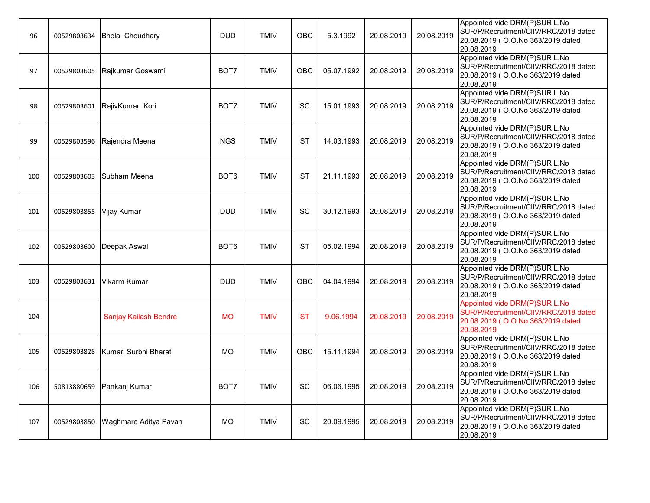| 96  | 00529803634 | Bhola Choudhary       | <b>DUD</b>       | <b>TMIV</b> | OBC       | 5.3.1992   | 20.08.2019 | 20.08.2019 | Appointed vide DRM(P)SUR L.No<br>SUR/P/Recruitment/CIIV/RRC/2018 dated<br>20.08.2019 (O.O.No 363/2019 dated<br>20.08.2019  |
|-----|-------------|-----------------------|------------------|-------------|-----------|------------|------------|------------|----------------------------------------------------------------------------------------------------------------------------|
| 97  | 00529803605 | Rajkumar Goswami      | BOT7             | <b>TMIV</b> | OBC       | 05.07.1992 | 20.08.2019 | 20.08.2019 | Appointed vide DRM(P)SUR L.No<br>SUR/P/Recruitment/CIIV/RRC/2018 dated<br>20.08.2019 (O.O.No 363/2019 dated<br>20.08.2019  |
| 98  | 00529803601 | RajivKumar Kori       | BOT7             | <b>TMIV</b> | SC        | 15.01.1993 | 20.08.2019 | 20.08.2019 | Appointed vide DRM(P)SUR L.No<br>SUR/P/Recruitment/CIIV/RRC/2018 dated<br>20.08.2019 (O.O.No 363/2019 dated<br>20.08.2019  |
| 99  | 00529803596 | Rajendra Meena        | <b>NGS</b>       | <b>TMIV</b> | <b>ST</b> | 14.03.1993 | 20.08.2019 | 20.08.2019 | Appointed vide DRM(P)SUR L.No<br>SUR/P/Recruitment/CIIV/RRC/2018 dated<br>20.08.2019 (O.O.No 363/2019 dated<br>20.08.2019  |
| 100 | 00529803603 | ISubham Meena         | BOT <sub>6</sub> | <b>TMIV</b> | <b>ST</b> | 21.11.1993 | 20.08.2019 | 20.08.2019 | Appointed vide DRM(P)SUR L.No<br>SUR/P/Recruitment/CIIV/RRC/2018 dated<br>20.08.2019 ( O.O.No 363/2019 dated<br>20.08.2019 |
| 101 | 00529803855 | Vijay Kumar           | <b>DUD</b>       | <b>TMIV</b> | SC        | 30.12.1993 | 20.08.2019 | 20.08.2019 | Appointed vide DRM(P)SUR L.No<br>SUR/P/Recruitment/CIIV/RRC/2018 dated<br>20.08.2019 (O.O.No 363/2019 dated<br>20.08.2019  |
| 102 | 00529803600 | Deepak Aswal          | BOT <sub>6</sub> | <b>TMIV</b> | ST        | 05.02.1994 | 20.08.2019 | 20.08.2019 | Appointed vide DRM(P)SUR L.No<br>SUR/P/Recruitment/CIIV/RRC/2018 dated<br>20.08.2019 (O.O.No 363/2019 dated<br>20.08.2019  |
| 103 | 00529803631 | Vikarm Kumar          | <b>DUD</b>       | <b>TMIV</b> | OBC       | 04.04.1994 | 20.08.2019 | 20.08.2019 | Appointed vide DRM(P)SUR L.No<br>SUR/P/Recruitment/CIIV/RRC/2018 dated<br>20.08.2019 (O.O.No 363/2019 dated<br>20.08.2019  |
| 104 |             | Sanjay Kailash Bendre | <b>MO</b>        | <b>TMIV</b> | <b>ST</b> | 9.06.1994  | 20.08.2019 | 20.08.2019 | Appointed vide DRM(P)SUR L.No<br>SUR/P/Recruitment/CIIV/RRC/2018 dated<br>20.08.2019 (O.O.No 363/2019 dated<br>20.08.2019  |
| 105 | 00529803828 | Kumari Surbhi Bharati | <b>MO</b>        | <b>TMIV</b> | OBC       | 15.11.1994 | 20.08.2019 | 20.08.2019 | Appointed vide DRM(P)SUR L.No<br>SUR/P/Recruitment/CIIV/RRC/2018 dated<br>20.08.2019 ( O.O.No 363/2019 dated<br>20.08.2019 |
| 106 | 50813880659 | Pankanj Kumar         | BOT7             | <b>TMIV</b> | SC        | 06.06.1995 | 20.08.2019 | 20.08.2019 | Appointed vide DRM(P)SUR L.No<br>SUR/P/Recruitment/CIIV/RRC/2018 dated<br>20.08.2019 ( O.O.No 363/2019 dated<br>20.08.2019 |
| 107 | 00529803850 | Waghmare Aditya Pavan | <b>MO</b>        | <b>TMIV</b> | SC        | 20.09.1995 | 20.08.2019 | 20.08.2019 | Appointed vide DRM(P)SUR L.No<br>SUR/P/Recruitment/CIIV/RRC/2018 dated<br>20.08.2019 (O.O.No 363/2019 dated<br>20.08.2019  |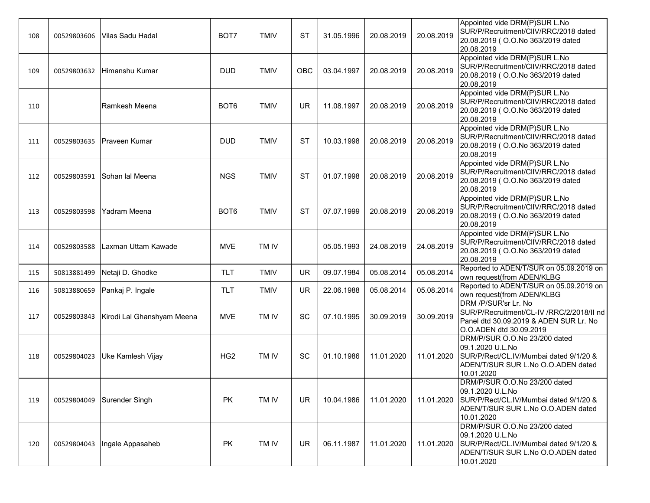| 108 | 00529803606 | Vilas Sadu Hadal           | BOT7             | <b>TMIV</b> | <b>ST</b> | 31.05.1996 | 20.08.2019 | 20.08.2019 | Appointed vide DRM(P)SUR L.No<br>SUR/P/Recruitment/CIIV/RRC/2018 dated<br>20.08.2019 ( O.O.No 363/2019 dated<br>20.08.2019                      |
|-----|-------------|----------------------------|------------------|-------------|-----------|------------|------------|------------|-------------------------------------------------------------------------------------------------------------------------------------------------|
| 109 | 00529803632 | Himanshu Kumar             | <b>DUD</b>       | <b>TMIV</b> | OBC       | 03.04.1997 | 20.08.2019 | 20.08.2019 | Appointed vide DRM(P)SUR L.No<br>SUR/P/Recruitment/CIIV/RRC/2018 dated<br>20.08.2019 (O.O.No 363/2019 dated<br>20.08.2019                       |
| 110 |             | Ramkesh Meena              | BOT <sub>6</sub> | <b>TMIV</b> | UR        | 11.08.1997 | 20.08.2019 | 20.08.2019 | Appointed vide DRM(P)SUR L.No<br>SUR/P/Recruitment/CIIV/RRC/2018 dated<br>20.08.2019 ( O.O.No 363/2019 dated<br>20.08.2019                      |
| 111 |             | 00529803635 Praveen Kumar  | <b>DUD</b>       | <b>TMIV</b> | <b>ST</b> | 10.03.1998 | 20.08.2019 | 20.08.2019 | Appointed vide DRM(P)SUR L.No<br>SUR/P/Recruitment/CIIV/RRC/2018 dated<br>20.08.2019 (O.O.No 363/2019 dated<br>20.08.2019                       |
| 112 | 00529803591 | Sohan lal Meena            | <b>NGS</b>       | <b>TMIV</b> | <b>ST</b> | 01.07.1998 | 20.08.2019 | 20.08.2019 | Appointed vide DRM(P)SUR L.No<br>SUR/P/Recruitment/CIIV/RRC/2018 dated<br>20.08.2019 (O.O.No 363/2019 dated<br>20.08.2019                       |
| 113 | 00529803598 | Yadram Meena               | BOT <sub>6</sub> | <b>TMIV</b> | <b>ST</b> | 07.07.1999 | 20.08.2019 | 20.08.2019 | Appointed vide DRM(P)SUR L.No<br>SUR/P/Recruitment/CIIV/RRC/2018 dated<br>20.08.2019 (O.O.No 363/2019 dated<br>20.08.2019                       |
| 114 | 00529803588 | Laxman Uttam Kawade        | <b>MVE</b>       | TM IV       |           | 05.05.1993 | 24.08.2019 | 24.08.2019 | Appointed vide DRM(P)SUR L.No<br>SUR/P/Recruitment/CIIV/RRC/2018 dated<br>20.08.2019 (O.O.No 363/2019 dated<br>20.08.2019                       |
| 115 | 50813881499 | Netaji D. Ghodke           | <b>TLT</b>       | <b>TMIV</b> | UR        | 09.07.1984 | 05.08.2014 | 05.08.2014 | Reported to ADEN/T/SUR on 05.09.2019 on<br>own request(from ADEN/KLBG                                                                           |
| 116 | 50813880659 | Pankaj P. Ingale           | <b>TLT</b>       | <b>TMIV</b> | <b>UR</b> | 22.06.1988 | 05.08.2014 | 05.08.2014 | Reported to ADEN/T/SUR on 05.09.2019 on<br>own request(from ADEN/KLBG                                                                           |
| 117 | 00529803843 | Kirodi Lal Ghanshyam Meena | <b>MVE</b>       | TM IV       | SC        | 07.10.1995 | 30.09.2019 | 30.09.2019 | DRM /P/SUR'sr Lr. No<br>SUR/P/Recruitment/CL-IV /RRC/2/2018/II nd<br>Panel dtd 30.09.2019 & ADEN SUR Lr. No<br>O.O.ADEN dtd 30.09.2019          |
| 118 | 00529804023 | Uke Kamlesh Vijay          | HG <sub>2</sub>  | TM IV       | SC        | 01.10.1986 | 11.01.2020 | 11.01.2020 | DRM/P/SUR O.O.No 23/200 dated<br>09.1.2020 U.L.No<br>SUR/P/Rect/CL.IV/Mumbai dated 9/1/20 &<br>ADEN/T/SUR SUR L.No O.O.ADEN dated<br>10.01.2020 |
| 119 | 00529804049 | Surender Singh             | PK               | TM IV       | <b>UR</b> | 10.04.1986 | 11.01.2020 | 11.01.2020 | DRM/P/SUR O.O.No 23/200 dated<br>09.1.2020 U.L.No<br>SUR/P/Rect/CL.IV/Mumbai dated 9/1/20 &<br>ADEN/T/SUR SUR L.No O.O.ADEN dated<br>10.01.2020 |
| 120 | 00529804043 | Ingale Appasaheb           | PK               | TM IV       | <b>UR</b> | 06.11.1987 | 11.01.2020 | 11.01.2020 | DRM/P/SUR O.O.No 23/200 dated<br>09.1.2020 U.L.No<br>SUR/P/Rect/CL.IV/Mumbai dated 9/1/20 &<br>ADEN/T/SUR SUR L.No O.O.ADEN dated<br>10.01.2020 |
|     |             |                            |                  |             |           |            |            |            |                                                                                                                                                 |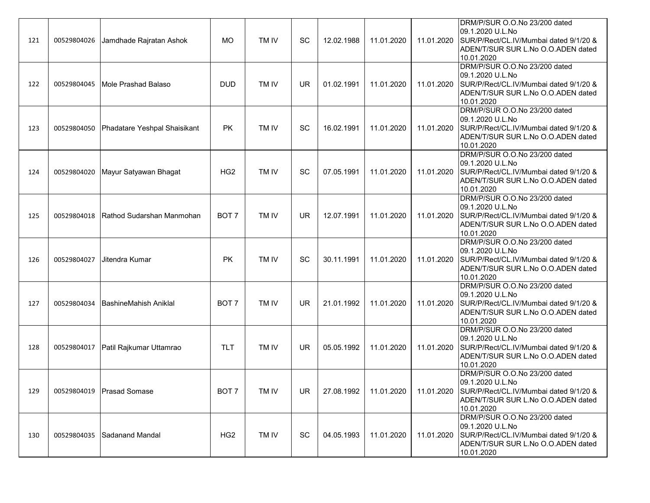| 121 | 00529804026 | Jamdhade Rajratan Ashok      | <b>MO</b>        | TM IV | SC        | 12.02.1988 | 11.01.2020 | 11.01.2020 | DRM/P/SUR O.O.No 23/200 dated<br>09.1.2020 U.L.No<br>SUR/P/Rect/CL.IV/Mumbai dated 9/1/20 &<br>ADEN/T/SUR SUR L.No O.O.ADEN dated<br>10.01.2020 |
|-----|-------------|------------------------------|------------------|-------|-----------|------------|------------|------------|-------------------------------------------------------------------------------------------------------------------------------------------------|
| 122 | 00529804045 | Mole Prashad Balaso          | <b>DUD</b>       | TM IV | <b>UR</b> | 01.02.1991 | 11.01.2020 | 11.01.2020 | DRM/P/SUR O.O.No 23/200 dated<br>09.1.2020 U.L.No<br>SUR/P/Rect/CL.IV/Mumbai dated 9/1/20 &<br>ADEN/T/SUR SUR L.No O.O.ADEN dated<br>10.01.2020 |
| 123 | 00529804050 | Phadatare Yeshpal Shaisikant | <b>PK</b>        | TM IV | SC        | 16.02.1991 | 11.01.2020 | 11.01.2020 | DRM/P/SUR O.O.No 23/200 dated<br>09.1.2020 U.L.No<br>SUR/P/Rect/CL.IV/Mumbai dated 9/1/20 &<br>ADEN/T/SUR SUR L.No O.O.ADEN dated<br>10.01.2020 |
| 124 | 00529804020 | Mayur Satyawan Bhagat        | HG <sub>2</sub>  | TM IV | SC        | 07.05.1991 | 11.01.2020 | 11.01.2020 | DRM/P/SUR O.O.No 23/200 dated<br>09.1.2020 U.L.No<br>SUR/P/Rect/CL.IV/Mumbai dated 9/1/20 &<br>ADEN/T/SUR SUR L.No O.O.ADEN dated<br>10.01.2020 |
| 125 | 00529804018 | Rathod Sudarshan Manmohan    | BOT <sub>7</sub> | TM IV | <b>UR</b> | 12.07.1991 | 11.01.2020 | 11.01.2020 | DRM/P/SUR O.O.No 23/200 dated<br>09.1.2020 U.L.No<br>SUR/P/Rect/CL.IV/Mumbai dated 9/1/20 &<br>ADEN/T/SUR SUR L.No O.O.ADEN dated<br>10.01.2020 |
| 126 | 00529804027 | Jitendra Kumar               | PK               | TM IV | SC        | 30.11.1991 | 11.01.2020 | 11.01.2020 | DRM/P/SUR O.O.No 23/200 dated<br>09.1.2020 U.L.No<br>SUR/P/Rect/CL.IV/Mumbai dated 9/1/20 &<br>ADEN/T/SUR SUR L.No O.O.ADEN dated<br>10.01.2020 |
| 127 | 00529804034 | <b>BashineMahish Aniklal</b> | BOT <sub>7</sub> | TM IV | <b>UR</b> | 21.01.1992 | 11.01.2020 | 11.01.2020 | DRM/P/SUR O.O.No 23/200 dated<br>09.1.2020 U.L.No<br>SUR/P/Rect/CL.IV/Mumbai dated 9/1/20 &<br>ADEN/T/SUR SUR L.No O.O.ADEN dated<br>10.01.2020 |
| 128 | 00529804017 | Patil Rajkumar Uttamrao      | <b>TLT</b>       | TM IV | <b>UR</b> | 05.05.1992 | 11.01.2020 | 11.01.2020 | DRM/P/SUR O.O.No 23/200 dated<br>09.1.2020 U.L.No<br>SUR/P/Rect/CL.IV/Mumbai dated 9/1/20 &<br>ADEN/T/SUR SUR L.No O.O.ADEN dated<br>10.01.2020 |
| 129 |             | 00529804019   Prasad Somase  | BOT 7            | TM IV | UR        | 27.08.1992 | 11.01.2020 | 11.01.2020 | DRM/P/SUR O.O.No 23/200 dated<br>09.1.2020 U.L.No<br>SUR/P/Rect/CL.IV/Mumbai dated 9/1/20 &<br>ADEN/T/SUR SUR L.No O.O.ADEN dated<br>10.01.2020 |
| 130 |             | 00529804035 Sadanand Mandal  | HG <sub>2</sub>  | TM IV | SC        | 04.05.1993 | 11.01.2020 | 11.01.2020 | DRM/P/SUR O.O.No 23/200 dated<br>09.1.2020 U.L.No<br>SUR/P/Rect/CL.IV/Mumbai dated 9/1/20 &<br>ADEN/T/SUR SUR L.No O.O.ADEN dated<br>10.01.2020 |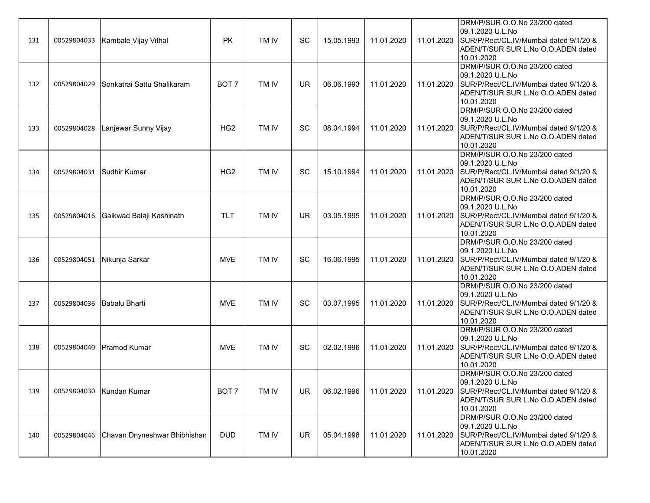| 131 | 00529804033               | Kambale Vijay Vithal         | <b>PK</b>        | TM IV | SC        | 15.05.1993 | 11.01.2020 | 11.01.2020 | DRM/P/SUR O.O.No 23/200 dated<br>09.1.2020 U.L.No<br>SUR/P/Rect/CL.IV/Mumbai dated 9/1/20 &<br>ADEN/T/SUR SUR L.No O.O.ADEN dated<br>10.01.2020 |
|-----|---------------------------|------------------------------|------------------|-------|-----------|------------|------------|------------|-------------------------------------------------------------------------------------------------------------------------------------------------|
| 132 | 00529804029               | Sonkatrai Sattu Shalikaram   | BOT <sub>7</sub> | TM IV | <b>UR</b> | 06.06.1993 | 11.01.2020 | 11.01.2020 | DRM/P/SUR O.O.No 23/200 dated<br>09.1.2020 U.L.No<br>SUR/P/Rect/CL.IV/Mumbai dated 9/1/20 &<br>ADEN/T/SUR SUR L.No O.O.ADEN dated<br>10.01.2020 |
| 133 | 00529804028               | Lanjewar Sunny Vijay         | HG <sub>2</sub>  | TM IV | SC        | 08.04.1994 | 11.01.2020 | 11.01.2020 | DRM/P/SUR O.O.No 23/200 dated<br>09.1.2020 U.L.No<br>SUR/P/Rect/CL.IV/Mumbai dated 9/1/20 &<br>ADEN/T/SUR SUR L.No O.O.ADEN dated<br>10.01.2020 |
| 134 | 00529804031               | Sudhir Kumar                 | HG <sub>2</sub>  | TM IV | SC        | 15.10.1994 | 11.01.2020 | 11.01.2020 | DRM/P/SUR O.O.No 23/200 dated<br>09.1.2020 U.L.No<br>SUR/P/Rect/CL.IV/Mumbai dated 9/1/20 &<br>ADEN/T/SUR SUR L.No O.O.ADEN dated<br>10.01.2020 |
| 135 | 00529804016               | Gaikwad Balaji Kashinath     | <b>TLT</b>       | TM IV | <b>UR</b> | 03.05.1995 | 11.01.2020 | 11.01.2020 | DRM/P/SUR O.O.No 23/200 dated<br>09.1.2020 U.L.No<br>SUR/P/Rect/CL.IV/Mumbai dated 9/1/20 &<br>ADEN/T/SUR SUR L.No O.O.ADEN dated<br>10.01.2020 |
| 136 | 00529804051               | Nikunja Sarkar               | <b>MVE</b>       | TM IV | <b>SC</b> | 16.06.1995 | 11.01.2020 | 11.01.2020 | DRM/P/SUR O.O.No 23/200 dated<br>09.1.2020 U.L.No<br>SUR/P/Rect/CL.IV/Mumbai dated 9/1/20 &<br>ADEN/T/SUR SUR L.No O.O.ADEN dated<br>10.01.2020 |
| 137 | 00529804036 Babalu Bharti |                              | <b>MVE</b>       | TM IV | SC        | 03.07.1995 | 11.01.2020 | 11.01.2020 | DRM/P/SUR O.O.No 23/200 dated<br>09.1.2020 U.L.No<br>SUR/P/Rect/CL.IV/Mumbai dated 9/1/20 &<br>ADEN/T/SUR SUR L.No O.O.ADEN dated<br>10.01.2020 |
| 138 |                           | 00529804040 Pramod Kumar     | <b>MVE</b>       | TM IV | <b>SC</b> | 02.02.1996 | 11.01.2020 | 11.01.2020 | DRM/P/SUR O.O.No 23/200 dated<br>09.1.2020 U.L.No<br>SUR/P/Rect/CL.IV/Mumbai dated 9/1/20 &<br>ADEN/T/SUR SUR L.No O.O.ADEN dated<br>10.01.2020 |
| 139 |                           | 00529804030 Kundan Kumar     | BOT 7            | TM IV | <b>UR</b> | 06.02.1996 | 11.01.2020 | 11.01.2020 | DRM/P/SUR O.O.No 23/200 dated<br>09.1.2020 U.L.No<br>SUR/P/Rect/CL.IV/Mumbai dated 9/1/20 &<br>ADEN/T/SUR SUR L.No O.O.ADEN dated<br>10.01.2020 |
| 140 | 00529804046               | Chavan Dnyneshwar Bhibhishan | <b>DUD</b>       | TM IV | UR        | 05.04.1996 | 11.01.2020 | 11.01.2020 | DRM/P/SUR O.O.No 23/200 dated<br>09.1.2020 U.L.No<br>SUR/P/Rect/CL.IV/Mumbai dated 9/1/20 &<br>ADEN/T/SUR SUR L.No O.O.ADEN dated<br>10.01.2020 |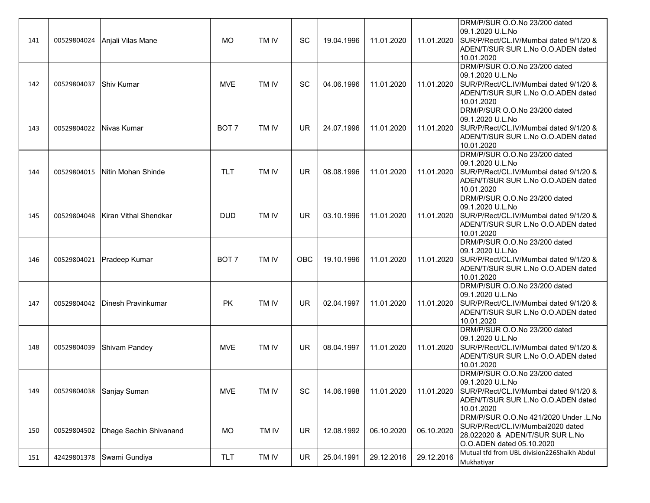| 141 |             | 00529804024 Anjali Vilas Mane  | <b>MO</b>        | TM IV | SC        | 19.04.1996 | 11.01.2020 | 11.01.2020 | DRM/P/SUR O.O.No 23/200 dated<br>09.1.2020 U.L.No<br>SUR/P/Rect/CL.IV/Mumbai dated 9/1/20 &<br>ADEN/T/SUR SUR L.No O.O.ADEN dated<br>10.01.2020 |
|-----|-------------|--------------------------------|------------------|-------|-----------|------------|------------|------------|-------------------------------------------------------------------------------------------------------------------------------------------------|
| 142 | 00529804037 | <b>Shiv Kumar</b>              | <b>MVE</b>       | TM IV | SC        | 04.06.1996 | 11.01.2020 | 11.01.2020 | DRM/P/SUR O.O.No 23/200 dated<br>09.1.2020 U.L.No<br>SUR/P/Rect/CL.IV/Mumbai dated 9/1/20 &<br>ADEN/T/SUR SUR L.No O.O.ADEN dated<br>10.01.2020 |
| 143 | 00529804022 | Nivas Kumar                    | BOT <sub>7</sub> | TM IV | UR        | 24.07.1996 | 11.01.2020 | 11.01.2020 | DRM/P/SUR O.O.No 23/200 dated<br>09.1.2020 U.L.No<br>SUR/P/Rect/CL.IV/Mumbai dated 9/1/20 &<br>ADEN/T/SUR SUR L.No O.O.ADEN dated<br>10.01.2020 |
| 144 | 00529804015 | Nitin Mohan Shinde             | <b>TLT</b>       | TM IV | UR        | 08.08.1996 | 11.01.2020 | 11.01.2020 | DRM/P/SUR O.O.No 23/200 dated<br>09.1.2020 U.L.No<br>SUR/P/Rect/CL.IV/Mumbai dated 9/1/20 &<br>ADEN/T/SUR SUR L.No O.O.ADEN dated<br>10.01.2020 |
| 145 | 00529804048 | Kiran Vithal Shendkar          | <b>DUD</b>       | TM IV | UR        | 03.10.1996 | 11.01.2020 | 11.01.2020 | DRM/P/SUR O.O.No 23/200 dated<br>09.1.2020 U.L.No<br>SUR/P/Rect/CL.IV/Mumbai dated 9/1/20 &<br>ADEN/T/SUR SUR L.No O.O.ADEN dated<br>10.01.2020 |
| 146 |             | 00529804021 Pradeep Kumar      | BOT <sub>7</sub> | TM IV | OBC       | 19.10.1996 | 11.01.2020 | 11.01.2020 | DRM/P/SUR O.O.No 23/200 dated<br>09.1.2020 U.L.No<br>SUR/P/Rect/CL.IV/Mumbai dated 9/1/20 &<br>ADEN/T/SUR SUR L.No O.O.ADEN dated<br>10.01.2020 |
| 147 |             | 00529804042 Dinesh Pravinkumar | PK               | TM IV | <b>UR</b> | 02.04.1997 | 11.01.2020 | 11.01.2020 | DRM/P/SUR O.O.No 23/200 dated<br>09.1.2020 U.L.No<br>SUR/P/Rect/CL.IV/Mumbai dated 9/1/20 &<br>ADEN/T/SUR SUR L.No O.O.ADEN dated<br>10.01.2020 |
| 148 | 00529804039 | Shivam Pandey                  | <b>MVE</b>       | TM IV | <b>UR</b> | 08.04.1997 | 11.01.2020 | 11.01.2020 | DRM/P/SUR O.O.No 23/200 dated<br>09.1.2020 U.L.No<br>SUR/P/Rect/CL.IV/Mumbai dated 9/1/20 &<br>ADEN/T/SUR SUR L.No O.O.ADEN dated<br>10.01.2020 |
| 149 | 00529804038 | Sanjay Suman                   | <b>MVE</b>       | TM IV | SC        | 14.06.1998 | 11.01.2020 | 11.01.2020 | DRM/P/SUR O.O.No 23/200 dated<br>09.1.2020 U.L.No<br>SUR/P/Rect/CL.IV/Mumbai dated 9/1/20 &<br>ADEN/T/SUR SUR L.No O.O.ADEN dated<br>10.01.2020 |
| 150 | 00529804502 | Dhage Sachin Shivanand         | <b>MO</b>        | TM IV | <b>UR</b> | 12.08.1992 | 06.10.2020 | 06.10.2020 | DRM/P/SUR O.O.No 421/2020 Under .L.No<br>SUR/P/Rect/CL.IV/Mumbai2020 dated<br>28.022020 & ADEN/T/SUR SUR L.No<br>O.O.ADEN dated 05.10.2020      |
| 151 | 42429801378 | Swami Gundiya                  | <b>TLT</b>       | TM IV | <b>UR</b> | 25.04.1991 | 29.12.2016 | 29.12.2016 | Mutual tfd from UBL division226Shaikh Abdul<br>Mukhatiyar                                                                                       |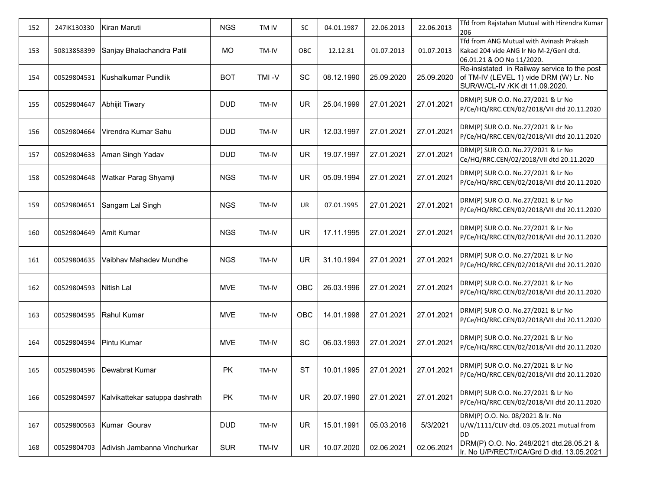| 152 | 247IK130330 | Kiran Maruti                   | <b>NGS</b> | TM IV | SC        | 04.01.1987 | 22.06.2013 | 22.06.2013 | Tfd from Rajstahan Mutual with Hirendra Kumar<br>206                                                                     |
|-----|-------------|--------------------------------|------------|-------|-----------|------------|------------|------------|--------------------------------------------------------------------------------------------------------------------------|
| 153 | 50813858399 | Sanjay Bhalachandra Patil      | <b>MO</b>  | TM-IV | OBC       | 12.12.81   | 01.07.2013 | 01.07.2013 | Tfd from ANG Mutual with Avinash Prakash<br>Kakad 204 vide ANG Ir No M-2/Genl dtd.<br>06.01.21 & OO No 11/2020.          |
| 154 | 00529804531 | Kushalkumar Pundlik            | <b>BOT</b> | TMI-V | SC        | 08.12.1990 | 25.09.2020 | 25.09.2020 | Re-insistated in Railway service to the post<br>of TM-IV (LEVEL 1) vide DRM (W) Lr. No<br>SUR/W/CL-IV /KK dt 11.09.2020. |
| 155 | 00529804647 | Abhijit Tiwary                 | <b>DUD</b> | TM-IV | <b>UR</b> | 25.04.1999 | 27.01.2021 | 27.01.2021 | DRM(P) SUR O.O. No.27/2021 & Lr No<br>P/Ce/HQ/RRC.CEN/02/2018/VII dtd 20.11.2020                                         |
| 156 | 00529804664 | Virendra Kumar Sahu            | <b>DUD</b> | TM-IV | UR        | 12.03.1997 | 27.01.2021 | 27.01.2021 | DRM(P) SUR O.O. No.27/2021 & Lr No<br>P/Ce/HQ/RRC.CEN/02/2018/VII dtd 20.11.2020                                         |
| 157 | 00529804633 | Aman Singh Yadav               | <b>DUD</b> | TM-IV | <b>UR</b> | 19.07.1997 | 27.01.2021 | 27.01.2021 | DRM(P) SUR O.O. No.27/2021 & Lr No<br>Ce/HQ/RRC.CEN/02/2018/VII dtd 20.11.2020                                           |
| 158 | 00529804648 | Watkar Parag Shyamji           | <b>NGS</b> | TM-IV | UR        | 05.09.1994 | 27.01.2021 | 27.01.2021 | DRM(P) SUR O.O. No.27/2021 & Lr No<br>P/Ce/HQ/RRC.CEN/02/2018/VII dtd 20.11.2020                                         |
| 159 | 00529804651 | Sangam Lal Singh               | <b>NGS</b> | TM-IV | UR        | 07.01.1995 | 27.01.2021 | 27.01.2021 | DRM(P) SUR O.O. No.27/2021 & Lr No<br>P/Ce/HQ/RRC.CEN/02/2018/VII dtd 20.11.2020                                         |
| 160 | 00529804649 | Amit Kumar                     | <b>NGS</b> | TM-IV | UR        | 17.11.1995 | 27.01.2021 | 27.01.2021 | DRM(P) SUR O.O. No.27/2021 & Lr No<br>P/Ce/HQ/RRC.CEN/02/2018/VII dtd 20.11.2020                                         |
| 161 | 00529804635 | Vaibhav Mahadev Mundhe         | <b>NGS</b> | TM-IV | <b>UR</b> | 31.10.1994 | 27.01.2021 | 27.01.2021 | DRM(P) SUR O.O. No.27/2021 & Lr No<br>P/Ce/HQ/RRC.CEN/02/2018/VII dtd 20.11.2020                                         |
| 162 | 00529804593 | Nitish Lal                     | <b>MVE</b> | TM-IV | OBC       | 26.03.1996 | 27.01.2021 | 27.01.2021 | DRM(P) SUR O.O. No.27/2021 & Lr No<br>P/Ce/HQ/RRC.CEN/02/2018/VII dtd 20.11.2020                                         |
| 163 | 00529804595 | <b>Rahul Kumar</b>             | <b>MVE</b> | TM-IV | OBC       | 14.01.1998 | 27.01.2021 | 27.01.2021 | DRM(P) SUR O.O. No.27/2021 & Lr No<br>P/Ce/HQ/RRC.CEN/02/2018/VII dtd 20.11.2020                                         |
| 164 | 00529804594 | Pintu Kumar                    | MVE        | TM-IV | SC        | 06.03.1993 | 27.01.2021 | 27.01.2021 | DRM(P) SUR O.O. No.27/2021 & Lr No<br>P/Ce/HQ/RRC.CEN/02/2018/VII dtd 20.11.2020                                         |
| 165 | 00529804596 | Dewabrat Kumar                 | PK         | TM-IV | <b>ST</b> | 10.01.1995 | 27.01.2021 | 27.01.2021 | DRM(P) SUR O.O. No.27/2021 & Lr No<br>P/Ce/HQ/RRC.CEN/02/2018/VII dtd 20.11.2020                                         |
| 166 | 00529804597 | Kalvikattekar satuppa dashrath | PK         | TM-IV | <b>UR</b> | 20.07.1990 | 27.01.2021 | 27.01.2021 | DRM(P) SUR O.O. No.27/2021 & Lr No<br>P/Ce/HQ/RRC.CEN/02/2018/VII dtd 20.11.2020                                         |
| 167 | 00529800563 | Kumar Gourav                   | <b>DUD</b> | TM-IV | <b>UR</b> | 15.01.1991 | 05.03.2016 | 5/3/2021   | DRM(P) O.O. No. 08/2021 & lr. No<br>U/W/1111/CLIV dtd. 03.05.2021 mutual from<br>DD                                      |
| 168 | 00529804703 | Adivish Jambanna Vinchurkar    | <b>SUR</b> | TM-IV | <b>UR</b> | 10.07.2020 | 02.06.2021 | 02.06.2021 | DRM(P) O.O. No. 248/2021 dtd.28.05.21 &<br>Ir. No U/P/RECT//CA/Grd D dtd. 13.05.2021                                     |